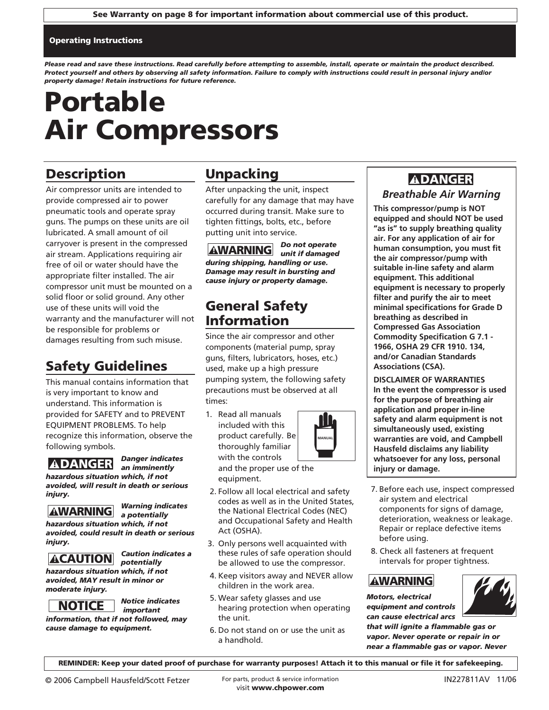### Operating Instructions

*Please read and save these instructions. Read carefully before attempting to assemble, install, operate or maintain the product described. Protect yourself and others by observing all safety information. Failure to comply with instructions could result in personal injury and/or property damage! Retain instructions for future reference.*

# Portable Air Compressors

## **Description**

Air compressor units are intended to provide compressed air to power pneumatic tools and operate spray guns. The pumps on these units are oil lubricated. A small amount of oil carryover is present in the compressed air stream. Applications requiring air free of oil or water should have the appropriate filter installed. The air compressor unit must be mounted on a solid floor or solid ground. Any other use of these units will void the warranty and the manufacturer will not be responsible for problems or damages resulting from such misuse.

## Safety Guidelines

This manual contains information that is very important to know and understand. This information is provided for SAFETY and to PREVENT EQUIPMENT PROBLEMS. To help recognize this information, observe the following symbols.

*Danger indicates an imminently hazardous situation which, if not avoided, will result in death or serious*



*injury.*

*Warning indicates a potentially*

*Caution indicates a* 

*hazardous situation which, if not avoided, could result in death or serious injury.* <u>ADANGER<br>Azzardous situatic</u><br>coided, will resul<br>jury.<br>**AWARNING**<br>azardous situatic<br>jury.<br>**ACAUTION**<br>azardous situatic<br>coided, MAY resu<br>oderate injury.<br>MOTICE

*potentially hazardous situation which, if not*

*avoided, MAY result in minor or moderate injury.*



*Notice indicates important*

*information, that if not followed, may cause damage to equipment.*

## Unpacking

After unpacking the unit, inspect carefully for any damage that may have occurred during transit. Make sure to tighten fittings, bolts, etc., before putting unit into service.

*Do not operate*  **AWARNING** unit if damaged *during shipping, handling or use. Damage may result in bursting and cause injury or property damage.*

## General Safety Information

Since the air compressor and other components (material pump, spray guns, filters, lubricators, hoses, etc.) used, make up a high pressure pumping system, the following safety precautions must be observed at all times:

1. Read all manuals included with this product carefully. Be thoroughly familiar with the controls and the proper use of the equipment.



- 2. Follow all local electrical and safety codes as well as in the United States, the National Electrical Codes (NEC) and Occupational Safety and Health Act (OSHA).
- 3. Only persons well acquainted with these rules of safe operation should be allowed to use the compressor.
- 4. Keep visitors away and NEVER allow children in the work area.
- 5. Wear safety glasses and use hearing protection when operating the unit.
- 6. Do not stand on or use the unit as a handhold.

## **ADANGER**

### *Breathable Air Warning*

**This compressor/pump is NOT equipped and should NOT be used "as is" to supply breathing quality air. For any application of air for human consumption, you must fit the air compressor/pump with suitable in-line safety and alarm equipment. This additional equipment is necessary to properly filter and purify the air to meet minimal specifications for Grade D breathing as described in Compressed Gas Association Commodity Specification G 7.1 - 1966, OSHA 29 CFR 1910. 134, and/or Canadian Standards Associations (CSA).**

**DISCLAIMER OF WARRANTIES In the event the compressor is used for the purpose of breathing air application and proper in-line safety and alarm equipment is not simultaneously used, existing warranties are void, and Campbell Hausfeld disclaims any liability whatsoever for any loss, personal injury or damage.**

- 7. Before each use, inspect compressed air system and electrical components for signs of damage, deterioration, weakness or leakage. Repair or replace defective items before using. Warranties are **Warranties are Warranties are Warranties are Warranties are Warranties are Warranties are whatsoever for injury or damaged States, air system and estables (NEC) and Health and Manuscript and Manuscript and** 
	- 8. Check all fasteners at frequent intervals for proper tightness.

*Motors, electrical equipment and controls can cause electrical arcs*

*that will ignite a flammable gas or vapor. Never operate or repair in or near a flammable gas or vapor. Never* 

REMINDER: Keep your dated proof of purchase for warranty purposes! Attach it to this manual or file it for safekeeping.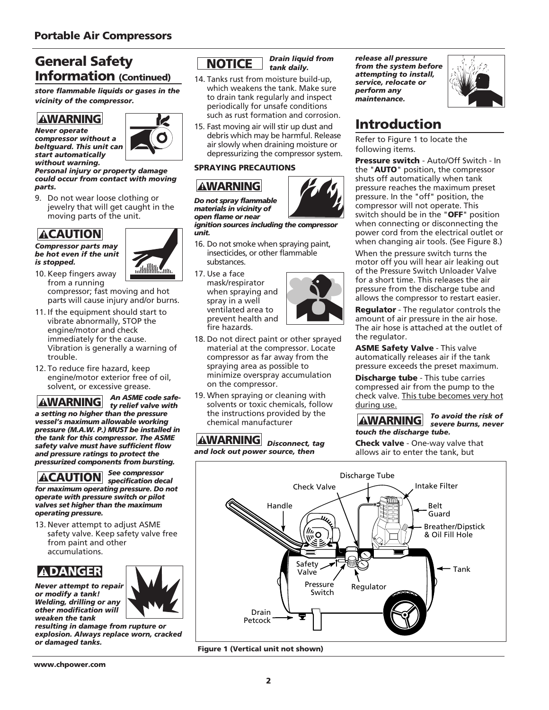## General Safety Information (Continued)

*store flammable liquids or gases in the vicinity of the compressor.*

## **AWARNING**

*Never operate compressor without a beltguard. This unit can start automatically without warning.*



### *Personal injury or property damage could occur from contact with moving parts.*

9. Do not wear loose clothing or jewelry that will get caught in the moving parts of the unit.

## **ACAUTION**

*Compressor parts may be hot even if the unit is stopped.*

10. Keep fingers away



- from a running compressor; fast moving and hot parts will cause injury and/or burns.
- 11. If the equipment should start to vibrate abnormally, STOP the engine/motor and check immediately for the cause. Vibration is generally a warning of trouble.
- 12. To reduce fire hazard, keep engine/motor exterior free of oil, solvent, or excessive grease.

*An ASME code safety relief valve with a setting no higher than the pressure vessel's maximum allowable working pressure (M.A.W. P.) MUST be installed in the tank for this compressor. The ASME safety valve must have sufficient flow and pressure ratings to protect the pressurized components from bursting.*  **AWARNING**<br>
ever operate<br>
eltguard. This un<br>
eltguard. This un<br>
art automaticall<br>
ithout warning.<br>
Irsonal injury or<br>
arts.<br>
Do not wear Ic<br>
jewelry that w<br>
moving parts<br>
compressor parts<br>
e hot even if the<br>
stopped.<br>
D. K

*See compressor specification decal for maximum operating pressure. Do not operate with pressure switch or pilot valves set higher than the maximum operating pressure.* 

13. Never attempt to adjust ASME safety valve. Keep safety valve free from paint and other accumulations.

## **ADANGER**

*Never attempt to repair or modify a tank! Welding, drilling or any other modification will weaken the tank*



*resulting in damage from rupture or explosion. Always replace worn, cracked or damaged tanks.*

## **NOTICE**

*Drain liquid from tank daily.*

- 14. Tanks rust from moisture build-up, which weakens the tank. Make sure to drain tank regularly and inspect periodically for unsafe conditions such as rust formation and corrosion.
- 15. Fast moving air will stir up dust and debris which may be harmful. Release air slowly when draining moisture or depressurizing the compressor system.

### SPRAYING PRECAUTIONS

## **AWARNING**

*Do not spray flammable materials in vicinity of open flame or near*

*ignition sources including the compressor unit.*

- 16. Do not smoke when spraying paint, insecticides, or other flammable substances.
- 17. Use a face mask/respirator when spraying and spray in a well ventilated area to prevent health and fire hazards. **I.** Tanks rust from which weakens<br>to drain tank reperiodically for such as rust for<br>is certified as rust for such as rust for<br>is a rest moving air debris which m<br>air slowly where<br>depressurizing<br>**PRAYING PREC.**<br>**AWARNING**<br>
- 18. Do not direct paint or other sprayed material at the compressor. Locate compressor as far away from the spraying area as possible to minimize overspray accumulation on the compressor.
- 19. When spraying or cleaning with solvents or toxic chemicals, follow the instructions provided by the chemical manufacturer

**AWARNING** Disconnect, tag *and lock out power source, then*

*release all pressure from the system before attempting to install, service, relocate or perform any maintenance.*



## Introduction

Refer to Figure 1 to locate the following items.

Pressure switch - Auto/Off Switch - In the "AUTO" position, the compressor shuts off automatically when tank pressure reaches the maximum preset pressure. In the "off" position, the compressor will not operate. This switch should be in the "**OFF**" position when connecting or disconnecting the power cord from the electrical outlet or when changing air tools. (See Figure 8.)

When the pressure switch turns the motor off you will hear air leaking out of the Pressure Switch Unloader Valve for a short time. This releases the air pressure from the discharge tube and allows the compressor to restart easier.

Regulator - The regulator controls the amount of air pressure in the air hose. The air hose is attached at the outlet of the regulator.

ASME Safety Valve - This valve automatically releases air if the tank pressure exceeds the preset maximum.

Discharge tube - This tube carries compressed air from the pump to the check valve. This tube becomes very hot during use.

### *To avoid the risk of severe burns, never touch the discharge tube.* **AWARNING**

Check valve - One-way valve that allows air to enter the tank, but



Figure 1 (Vertical unit not shown)

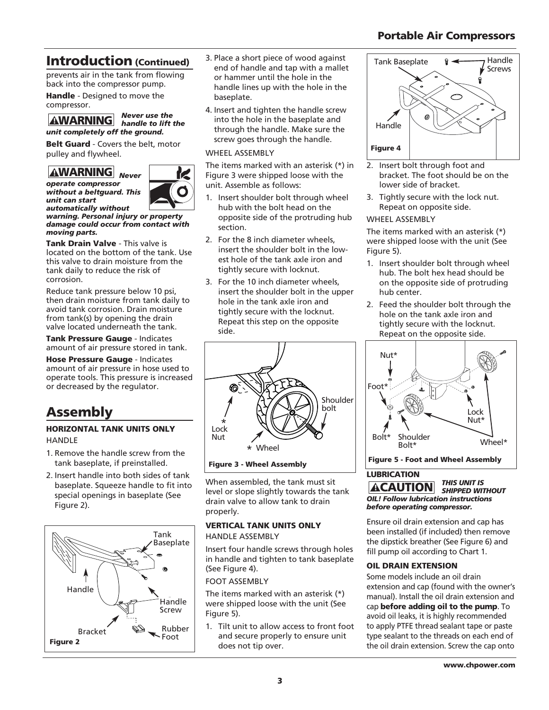### Portable Air Compressors

## Introduction (Continued)

prevents air in the tank from flowing back into the compressor pump.

Handle - Designed to move the compressor.

## *Never use the handle to lift the unit completely off the ground.* **AWARNING** hand<br>
nit completely off the given<br>
elt Guard - Covers the k<br>
ulley and flywheel.<br> **AWARNING** Never

Belt Guard - Covers the belt, motor pulley and flywheel.



*operate compressor without a beltguard. This unit can start automatically without*

*warning. Personal injury or property damage could occur from contact with moving parts.*

Tank Drain Valve - This valve is located on the bottom of the tank. Use this valve to drain moisture from the tank daily to reduce the risk of corrosion.

Reduce tank pressure below 10 psi, then drain moisture from tank daily to avoid tank corrosion. Drain moisture from tank(s) by opening the drain valve located underneath the tank.

Tank Pressure Gauge - Indicates amount of air pressure stored in tank.

Hose Pressure Gauge - Indicates amount of air pressure in hose used to operate tools. This pressure is increased or decreased by the regulator.

## Assembly

### HORIZONTAL TANK UNITS ONLY **HANDLE**

- 1. Remove the handle screw from the tank baseplate, if preinstalled.
- 2. Insert handle into both sides of tank baseplate. Squeeze handle to fit into special openings in baseplate (See Figure 2).



- 3. Place a short piece of wood against end of handle and tap with a mallet or hammer until the hole in the handle lines up with the hole in the baseplate.
- 4. Insert and tighten the handle screw into the hole in the baseplate and through the handle. Make sure the screw goes through the handle.

### WHEEL ASSEMBLY

The items marked with an asterisk (\*) in Figure 3 were shipped loose with the unit. Assemble as follows:

- 1. Insert shoulder bolt through wheel hub with the bolt head on the opposite side of the protruding hub section.
- 2. For the 8 inch diameter wheels, insert the shoulder bolt in the lowest hole of the tank axle iron and tightly secure with locknut.
- 3. For the 10 inch diameter wheels, insert the shoulder bolt in the upper hole in the tank axle iron and tightly secure with the locknut. Repeat this step on the opposite side.



Figure 3 - Wheel Assembly

When assembled, the tank must sit level or slope slightly towards the tank drain valve to allow tank to drain properly.

### VERTICAL TANK UNITS ONLY HANDLE ASSEMBLY

Insert four handle screws through holes in handle and tighten to tank baseplate (See Figure 4).

### FOOT ASSEMBLY

The items marked with an asterisk (\*) were shipped loose with the unit (See Figure 5).

1. Tilt unit to allow access to front foot and secure properly to ensure unit does not tip over.



- 2. Insert bolt through foot and bracket. The foot should be on the lower side of bracket.
- 3. Tightly secure with the lock nut. Repeat on opposite side.

### WHEEL ASSEMBLY

The items marked with an asterisk (\*) were shipped loose with the unit (See Figure 5).

- 1. Insert shoulder bolt through wheel hub. The bolt hex head should be on the opposite side of protruding hub center.
- 2. Feed the shoulder bolt through the hole on the tank axle iron and tightly secure with the locknut. Repeat on the opposite side.



Figure 5 - Foot and Wheel Assembly

### LUBRICATION

*THIS UNIT IS SHIPPED WITHOUT OIL! Follow lubrication instructions before operating compressor.* **ACAUTION** 

Ensure oil drain extension and cap has been installed (if included) then remove the dipstick breather (See Figure 6) and fill pump oil according to Chart 1.

### OIL DRAIN EXTENSION

Some models include an oil drain extension and cap (found with the owner's manual). Install the oil drain extension and cap before adding oil to the pump. To avoid oil leaks, it is highly recommended to apply PTFE thread sealant tape or paste type sealant to the threads on each end of the oil drain extension. Screw the cap onto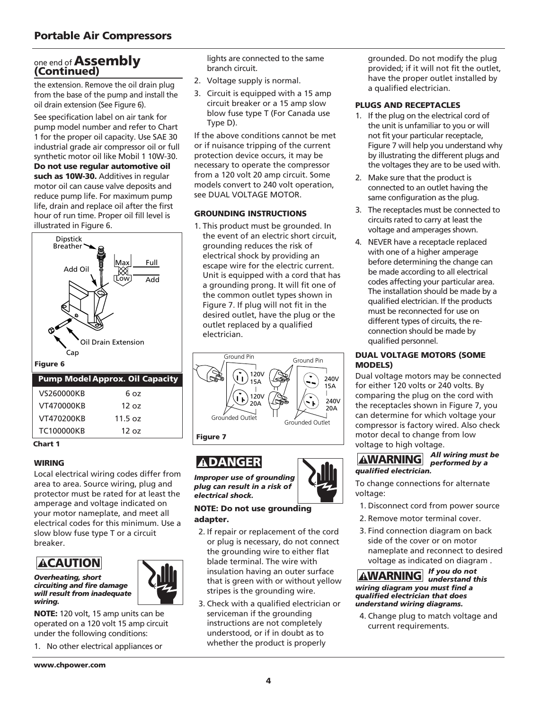# one end of **Assembly**<br>(Continued)

the extension. Remove the oil drain plug from the base of the pump and install the oil drain extension (See Figure 6).

See specification label on air tank for pump model number and refer to Chart 1 for the proper oil capacity. Use SAE 30 industrial grade air compressor oil or full synthetic motor oil like Mobil 1 10W-30.

Do not use regular automotive oil such as 10W-30. Additives in regular motor oil can cause valve deposits and reduce pump life. For maximum pump life, drain and replace oil after the first hour of run time. Proper oil fill level is illustrated in Figure 6.



| VS260000KB        | ნ იჳ    |  |
|-------------------|---------|--|
| VT470000KB        | 120z    |  |
| VT470200KB        | 11.5 oz |  |
| <b>TC100000KB</b> | 120z    |  |
|                   |         |  |

Chart 1

### WIRING

Local electrical wiring codes differ from area to area. Source wiring, plug and protector must be rated for at least the amperage and voltage indicated on your motor nameplate, and meet all electrical codes for this minimum. Use a slow blow fuse type T or a circuit breaker.

## **ACAUTION**

*Overheating, short circuiting and fire damage will result from inadequate wiring.*

NOTE: 120 volt, 15 amp units can be operated on a 120 volt 15 amp circuit under the following conditions:

1. No other electrical appliances or

lights are connected to the same branch circuit.

- 2. Voltage supply is normal.
- 3. Circuit is equipped with a 15 amp circuit breaker or a 15 amp slow blow fuse type T (For Canada use Type D).

If the above conditions cannot be met or if nuisance tripping of the current protection device occurs, it may be necessary to operate the compressor from a 120 volt 20 amp circuit. Some models convert to 240 volt operation, see DUAL VOLTAGE MOTOR.

### GROUNDING INSTRUCTIONS

1. This product must be grounded. In the event of an electric short circuit, grounding reduces the risk of electrical shock by providing an escape wire for the electric current. Unit is equipped with a cord that has a grounding prong. It will fit one of the common outlet types shown in Figure 7. If plug will not fit in the desired outlet, have the plug or the outlet replaced by a qualified electrician.



## **ADANGER**

*Improper use of grounding plug can result in a risk of electrical shock.*

### NOTE: Do not use grounding adapter.

- 2. If repair or replacement of the cord or plug is necessary, do not connect the grounding wire to either flat blade terminal. The wire with insulation having an outer surface that is green with or without yellow stripes is the grounding wire.
- 3. Check with a qualified electrician or serviceman if the grounding instructions are not completely understood, or if in doubt as to whether the product is properly

grounded. Do not modify the plug provided; if it will not fit the outlet, have the proper outlet installed by a qualified electrician.

### PLUGS AND RECEPTACLES

- 1. If the plug on the electrical cord of the unit is unfamiliar to you or will not fit your particular receptacle, Figure 7 will help you understand why by illustrating the different plugs and the voltages they are to be used with.
- 2. Make sure that the product is connected to an outlet having the same configuration as the plug.
- 3. The receptacles must be connected to circuits rated to carry at least the voltage and amperages shown.
- 4. NEVER have a receptacle replaced with one of a higher amperage before determining the change can be made according to all electrical codes affecting your particular area. The installation should be made by a qualified electrician. If the products must be reconnected for use on different types of circuits, the reconnection should be made by qualified personnel.

### DUAL VOLTAGE MOTORS (SOME MODELS)

Dual voltage motors may be connected for either 120 volts or 240 volts. By comparing the plug on the cord with the receptacles shown in Figure 7, you can determine for which voltage your compressor is factory wired. Also check motor decal to change from low voltage to high voltage.

### *All wiring must be performed by a qualified electrician.*

To change connections for alternate voltage:

- 1. Disconnect cord from power source
- 2. Remove motor terminal cover.
- 3. Find connection diagram on back side of the cover or on motor nameplate and reconnect to desired voltage as indicated on diagram . **EXERCT THE CONSTRAINT SURVEY AND ADMONGTRAINT SURVEYOR AND SURVEY CONSUMIST AND SURVEY AND SURVEY AND SURVEY AND SURVEY AND SURVEY AND SURVEY AND SURVEY AND SURVEY AND SURVEY AND SURVEY AND SURVEY AND SURVEY AND SURVEY AN**

### *If you do not wiring diagram you must find a qualified electrician that does understand wiring diagrams.*

4. Change plug to match voltage and current requirements.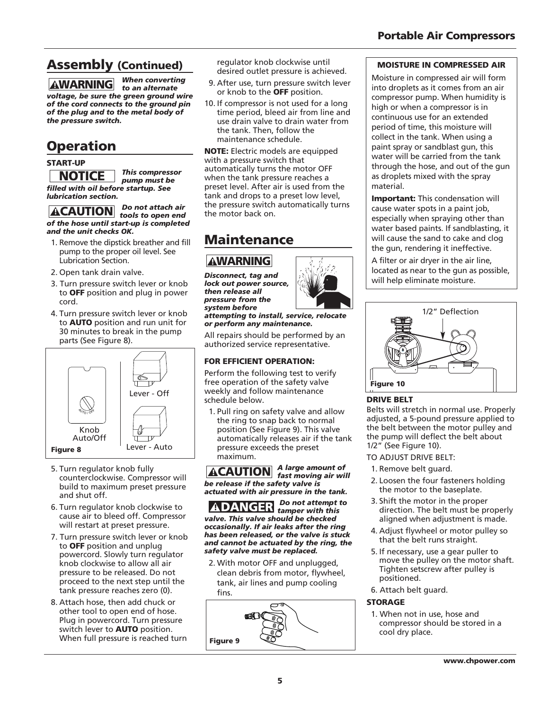### Portable Air Compressors

## Assembly (Continued)

*When converting to an alternate voltage, be sure the green ground wire of the cord connects to the ground pin of the plug and to the metal body of the pressure switch.* **AWARNING** to an alternate<br>
pltage, be sure the green ground with<br>
the cord connects to the ground pi<br>
the plug and to the metal body of<br>
the plug and to the metal body of<br> **PECAUTION** This compressor<br> **NOTICE** This compre

## **Operation**

### START-UP

*This compressor pump must be filled with oil before startup. See lubrication section.*

*Do not attach air of the hose until start-up is completed and the unit checks OK.*

- 1. Remove the dipstick breather and fill pump to the proper oil level. See Lubrication Section.
- 2. Open tank drain valve.
- 3. Turn pressure switch lever or knob to OFF position and plug in power cord.
- 4. Turn pressure switch lever or knob to AUTO position and run unit for 30 minutes to break in the pump parts (See Figure 8).



- 5. Turn regulator knob fully counterclockwise. Compressor will build to maximum preset pressure and shut off.
- 6. Turn regulator knob clockwise to cause air to bleed off. Compressor will restart at preset pressure.
- 7. Turn pressure switch lever or knob to OFF position and unplug powercord. Slowly turn regulator knob clockwise to allow all air pressure to be released. Do not proceed to the next step until the tank pressure reaches zero (0).
- 8. Attach hose, then add chuck or other tool to open end of hose. Plug in powercord. Turn pressure switch lever to **AUTO** position. When full pressure is reached turn

regulator knob clockwise until desired outlet pressure is achieved.

- 9. After use, turn pressure switch lever or knob to the OFF position.
- 10. If compressor is not used for a long time period, bleed air from line and use drain valve to drain water from the tank. Then, follow the maintenance schedule.

NOTE: Electric models are equipped with a pressure switch that automatically turns the motor OFF when the tank pressure reaches a preset level. After air is used from the tank and drops to a preset low level, the pressure switch automatically turns the motor back on.

## Maintenance

*Disconnect, tag and lock out power source, then release all pressure from the system before*

*attempting to install, service, relocate or perform any maintenance.*

All repairs should be performed by an authorized service representative.

### FOR EFFICIENT OPERATION:

Perform the following test to verify free operation of the safety valve weekly and follow maintenance schedule below.

1. Pull ring on safety valve and allow the ring to snap back to normal position (See Figure 9). This valve automatically releases air if the tank pressure exceeds the preset maximum. **AWARNING**<br>
isconnect, tag an<br>
ck out power sou<br>
en release all<br>
ressure from the<br>
ressure from any ma<br>
ll repairs should l<br>
uthorized service<br>
DR EFFICIENT OI<br>
enform the follow<br>
thorized service<br>
DR EFFICIENT OI<br>
reform

*A large amount of fast moving air will be release if the safety valve is actuated with air pressure in the tank.*

*Do not attempt to tamper with this valve. This valve should be checked occasionally. If air leaks after the ring has been released, or the valve is stuck and cannot be actuated by the ring, the safety valve must be replaced.*

2. With motor OFF and unplugged, clean debris from motor, flywheel, tank, air lines and pump cooling fins.



### MOISTURE IN COMPRESSED AIR

Moisture in compressed air will form into droplets as it comes from an air compressor pump. When humidity is high or when a compressor is in continuous use for an extended period of time, this moisture will collect in the tank. When using a paint spray or sandblast gun, this water will be carried from the tank through the hose, and out of the gun as droplets mixed with the spray material.

**Important:** This condensation will cause water spots in a paint job, especially when spraying other than water based paints. If sandblasting, it will cause the sand to cake and clog the gun, rendering it ineffective.

A filter or air dryer in the air line, located as near to the gun as possible, will help eliminate moisture.



### DRIVE BELT

Belts will stretch in normal use. Properly adjusted, a 5-pound pressure applied to the belt between the motor pulley and the pump will deflect the belt about 1/2" (See Figure 10).

- TO ADJUST DRIVE BELT:
- 1. Remove belt guard.
- 2. Loosen the four fasteners holding the motor to the baseplate.
- 3. Shift the motor in the proper direction. The belt must be properly aligned when adjustment is made.
- 4. Adjust flywheel or motor pulley so that the belt runs straight.
- 5. If necessary, use a gear puller to move the pulley on the motor shaft. Tighten setscrew after pulley is positioned.
- 6. Attach belt guard.

### **STORAGE**

1. When not in use, hose and compressor should be stored in a cool dry place.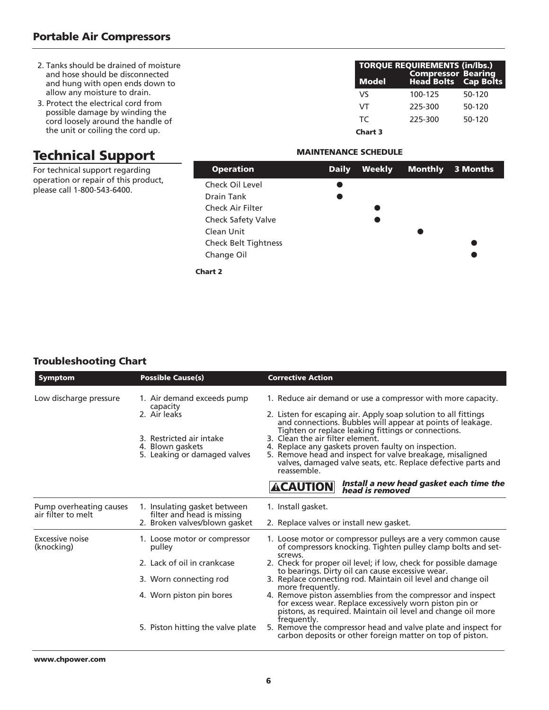- 2. Tanks should be drained of moisture and hose should be disconnected and hung with open ends down to allow any moisture to drain.
- 3. Protect the electrical cord from possible damage by winding the cord loosely around the handle of the unit or coiling the cord up.

## Technical Support

For technical support regarding operation or repair of this product, please call 1-800-543-6400.

| <b>Model</b>   | <b>TORQUE REQUIREMENTS (in/lbs.)</b> | Compressor Bearing<br>Head Bolts Cap Bolts |
|----------------|--------------------------------------|--------------------------------------------|
| V٢             | 100-125                              | 50-120                                     |
| VT             | 225-300                              | 50-120                                     |
| TC.            | 225-300                              | $50-120$                                   |
| <b>Chart 3</b> |                                      |                                            |

### MAINTENANCE SCHEDULE

| <b>Operation</b>            | <b>Daily</b> | Weekly | Monthly | 3 Months |
|-----------------------------|--------------|--------|---------|----------|
| Check Oil Level             |              |        |         |          |
| Drain Tank                  |              |        |         |          |
| Check Air Filter            |              |        |         |          |
| <b>Check Safety Valve</b>   |              |        |         |          |
| Clean Unit                  |              |        |         |          |
| <b>Check Belt Tightness</b> |              |        |         |          |
| Change Oil                  |              |        |         |          |
|                             |              |        |         |          |

Chart 2

### Troubleshooting Chart

| <b>Symptom</b>                                | <b>Possible Cause(s)</b>                                                                                                                                         | <b>Corrective Action</b>                                                                                                                                                                                                                                                                                                                                                                                                                                                                                                                                                                                                                                                                   |
|-----------------------------------------------|------------------------------------------------------------------------------------------------------------------------------------------------------------------|--------------------------------------------------------------------------------------------------------------------------------------------------------------------------------------------------------------------------------------------------------------------------------------------------------------------------------------------------------------------------------------------------------------------------------------------------------------------------------------------------------------------------------------------------------------------------------------------------------------------------------------------------------------------------------------------|
| Low discharge pressure                        | 1. Air demand exceeds pump<br>capacity<br>2. Air leaks<br>3. Restricted air intake<br>4. Blown gaskets<br>5. Leaking or damaged valves                           | 1. Reduce air demand or use a compressor with more capacity.<br>2. Listen for escaping air. Apply soap solution to all fittings<br>and connections. Bubbles will appear at points of leakage.<br>Tighten or replace leaking fittings or connections.<br>3. Clean the air filter element.<br>4. Replace any gaskets proven faulty on inspection.<br>5. Remove head and inspect for valve breakage, misaligned<br>valves, damaged valve seats, etc. Replace defective parts and<br>reassemble.                                                                                                                                                                                               |
|                                               |                                                                                                                                                                  | Install a new head gasket each time the<br>head is removed<br><b>ACAUTION</b>                                                                                                                                                                                                                                                                                                                                                                                                                                                                                                                                                                                                              |
| Pump overheating causes<br>air filter to melt | 1. Insulating gasket between<br>filter and head is missing<br>2. Broken valves/blown gasket                                                                      | 1. Install gasket.<br>2. Replace valves or install new gasket.                                                                                                                                                                                                                                                                                                                                                                                                                                                                                                                                                                                                                             |
| Excessive noise<br>(knocking)                 | 1. Loose motor or compressor<br>pulley<br>2. Lack of oil in crankcase<br>3. Worn connecting rod<br>4. Worn piston pin bores<br>5. Piston hitting the valve plate | 1. Loose motor or compressor pulleys are a very common cause<br>of compressors knocking. Tighten pulley clamp bolts and set-<br>screws.<br>2. Check for proper oil level; if low, check for possible damage<br>to bearings. Dirty oil can cause excessive wear.<br>3. Replace connecting rod. Maintain oil level and change oil<br>more frequently.<br>4. Remove piston assemblies from the compressor and inspect<br>for excess wear. Replace excessively worn piston pin or<br>pistons, as required. Maintain oil level and change oil more<br>frequently.<br>5. Remove the compressor head and valve plate and inspect for<br>carbon deposits or other foreign matter on top of piston. |

www.chpower.com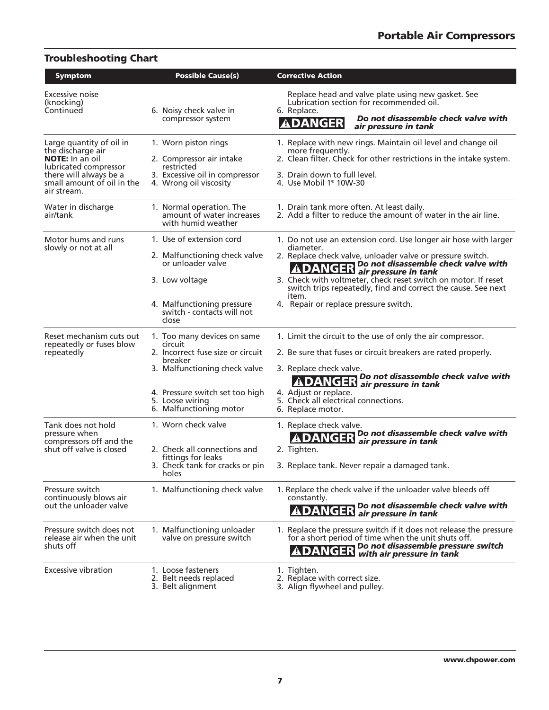| <b>Troubleshooting Chart</b>                                                                                                                                            |                                                                                                                                                                                                          |                                                                                                                                                                                                                                                                                                                                                                                        |
|-------------------------------------------------------------------------------------------------------------------------------------------------------------------------|----------------------------------------------------------------------------------------------------------------------------------------------------------------------------------------------------------|----------------------------------------------------------------------------------------------------------------------------------------------------------------------------------------------------------------------------------------------------------------------------------------------------------------------------------------------------------------------------------------|
| <b>Symptom</b>                                                                                                                                                          | <b>Possible Cause(s)</b>                                                                                                                                                                                 | <b>Corrective Action</b>                                                                                                                                                                                                                                                                                                                                                               |
| Excessive noise<br>(knocking)<br>Continued                                                                                                                              | 6. Noisy check valve in<br>compressor system                                                                                                                                                             | Replace head and valve plate using new gasket. See<br>Lubrication section for recommended oil.<br>6. Replace.<br>Do not disassemble check valve with<br><b>ADANGER</b><br>air pressure in tank                                                                                                                                                                                         |
| Large quantity of oil in<br>the discharge air<br><b>NOTE:</b> In an oil<br>lubricated compressor<br>there will always be a<br>small amount of oil in the<br>air stream. | 1. Worn piston rings<br>2. Compressor air intake<br>restricted<br>3. Excessive oil in compressor<br>4. Wrong oil viscosity                                                                               | 1. Replace with new rings. Maintain oil level and change oil<br>more frequently.<br>2. Clean filter. Check for other restrictions in the intake system.<br>3. Drain down to full level.<br>4. Use Mobil 1 <sup>®</sup> 10W-30                                                                                                                                                          |
| Water in discharge<br>air/tank                                                                                                                                          | 1. Normal operation. The<br>amount of water increases<br>with humid weather                                                                                                                              | 1. Drain tank more often. At least daily.<br>2. Add a filter to reduce the amount of water in the air line.                                                                                                                                                                                                                                                                            |
| Motor hums and runs<br>slowly or not at all                                                                                                                             | 1. Use of extension cord<br>2. Malfunctioning check valve<br>or unloader valve<br>3. Low voltage<br>4. Malfunctioning pressure<br>switch - contacts will not<br>close                                    | 1. Do not use an extension cord. Use longer air hose with larger<br>diameter.<br>2. Replace check valve, unloader valve or pressure switch.<br><b>ADANGER</b> Do not disassemble check valve with<br>3. Check with voltmeter, check reset switch on motor. If reset<br>switch trips repeatedly, find and correct the cause. See next<br>item.<br>4. Repair or replace pressure switch. |
| Reset mechanism cuts out<br>repeatedly or fuses blow<br>repeatedly                                                                                                      | 1. Too many devices on same<br>circuit<br>2. Incorrect fuse size or circuit<br>breaker<br>3. Malfunctioning check valve<br>4. Pressure switch set too high<br>5. Loose wiring<br>6. Malfunctioning motor | 1. Limit the circuit to the use of only the air compressor.<br>2. Be sure that fuses or circuit breakers are rated properly.<br>3. Replace check valve.<br><b>ADANGER</b> Do not disassemble check valve with<br>4. Adjust or replace.<br>5. Check all electrical connections.<br>6. Replace motor.                                                                                    |
| Tank does not hold<br>pressure when<br>compressors off and the<br>shut off valve is closed                                                                              | 1. Worn check valve<br>2. Check all connections and<br>fittings for leaks<br>3. Check tank for cracks or pin<br>holes                                                                                    | 1. Replace check valve.<br>Do not disassemble check valve with<br>ANGEN air pressure in tank<br>2. Tighten.<br>3. Replace tank. Never repair a damaged tank.                                                                                                                                                                                                                           |
| Pressure switch<br>continuously blows air<br>out the unloader valve                                                                                                     | 1. Malfunctioning check valve                                                                                                                                                                            | 1. Replace the check valve if the unloader valve bleeds off<br>constantly.<br>Do not disassemble check valve with<br>DANGER air pressure in tank                                                                                                                                                                                                                                       |
| Pressure switch does not<br>release air when the unit<br>shuts off                                                                                                      | 1. Malfunctioning unloader<br>valve on pressure switch                                                                                                                                                   | 1. Replace the pressure switch if it does not release the pressure<br>for a short period of time when the unit shuts off.<br><b>ADANGER</b> Do not disassemble pressure switch                                                                                                                                                                                                         |
| Excessive vibration                                                                                                                                                     | 1. Loose fasteners<br>2. Belt needs replaced<br>3. Belt alignment                                                                                                                                        | 1. Tighten.<br>2. Replace with correct size.<br>3. Align flywheel and pulley.                                                                                                                                                                                                                                                                                                          |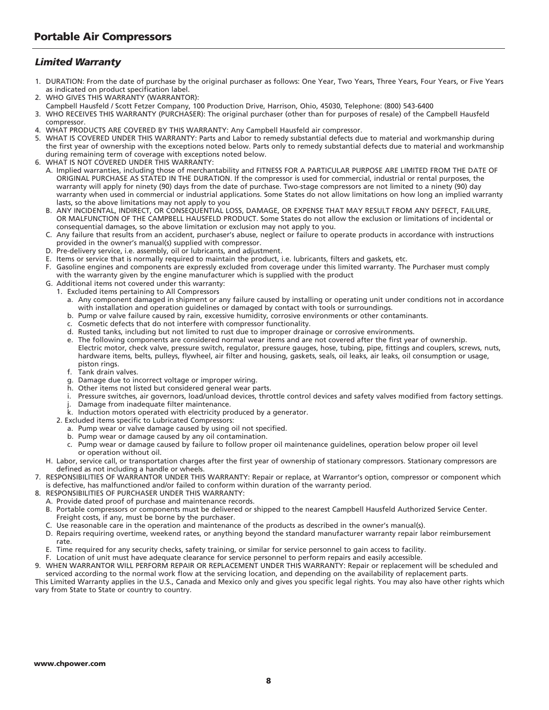### *Limited Warranty*

- 1. DURATION: From the date of purchase by the original purchaser as follows: One Year, Two Years, Three Years, Four Years, or Five Years as indicated on product specification label.
- 2. WHO GIVES THIS WARRANTY (WARRANTOR):
- Campbell Hausfeld / Scott Fetzer Company, 100 Production Drive, Harrison, Ohio, 45030, Telephone: (800) 543-6400
- 3. WHO RECEIVES THIS WARRANTY (PURCHASER): The original purchaser (other than for purposes of resale) of the Campbell Hausfeld compressor.
- 4. WHAT PRODUCTS ARE COVERED BY THIS WARRANTY: Any Campbell Hausfeld air compressor.
- 5. WHAT IS COVERED UNDER THIS WARRANTY: Parts and Labor to remedy substantial defects due to material and workmanship during the first year of ownership with the exceptions noted below. Parts only to remedy substantial defects due to material and workmanship during remaining term of coverage with exceptions noted below.
- 6. WHAT IS NOT COVERED UNDER THIS WARRANTY:
	- A. Implied warranties, including those of merchantability and FITNESS FOR A PARTICULAR PURPOSE ARE LIMITED FROM THE DATE OF ORIGINAL PURCHASE AS STATED IN THE DURATION. If the compressor is used for commercial, industrial or rental purposes, the warranty will apply for ninety (90) days from the date of purchase. Two-stage compressors are not limited to a ninety (90) day warranty when used in commercial or industrial applications. Some States do not allow limitations on how long an implied warranty lasts, so the above limitations may not apply to you
	- B. ANY INCIDENTAL, INDIRECT, OR CONSEQUENTIAL LOSS, DAMAGE, OR EXPENSE THAT MAY RESULT FROM ANY DEFECT, FAILURE, OR MALFUNCTION OF THE CAMPBELL HAUSFELD PRODUCT. Some States do not allow the exclusion or limitations of incidental or consequential damages, so the above limitation or exclusion may not apply to you.
	- C. Any failure that results from an accident, purchaser's abuse, neglect or failure to operate products in accordance with instructions provided in the owner's manual(s) supplied with compressor.
	- D. Pre-delivery service, i.e. assembly, oil or lubricants, and adjustment.
	- E. Items or service that is normally required to maintain the product, i.e. lubricants, filters and gaskets, etc.
	- F. Gasoline engines and components are expressly excluded from coverage under this limited warranty. The Purchaser must comply with the warranty given by the engine manufacturer which is supplied with the product
	- G. Additional items not covered under this warranty:
		- 1. Excluded items pertaining to All Compressors
			- a. Any component damaged in shipment or any failure caused by installing or operating unit under conditions not in accordance with installation and operation guidelines or damaged by contact with tools or surroundings.
			- b. Pump or valve failure caused by rain, excessive humidity, corrosive environments or other contaminants.
			- c. Cosmetic defects that do not interfere with compressor functionality.
			- d. Rusted tanks, including but not limited to rust due to improper drainage or corrosive environments.
			- e. The following components are considered normal wear items and are not covered after the first year of ownership. Electric motor, check valve, pressure switch, regulator, pressure gauges, hose, tubing, pipe, fittings and couplers, screws, nuts, hardware items, belts, pulleys, flywheel, air filter and housing, gaskets, seals, oil leaks, air leaks, oil consumption or usage, piston rings.
			- f. Tank drain valves.
			- g. Damage due to incorrect voltage or improper wiring.
			- h. Other items not listed but considered general wear parts.
			- i. Pressure switches, air governors, load/unload devices, throttle control devices and safety valves modified from factory settings.
			- j. Damage from inadequate filter maintenance.
			- k. Induction motors operated with electricity produced by a generator.
		- 2. Excluded items specific to Lubricated Compressors:
			- a. Pump wear or valve damage caused by using oil not specified.
			- b. Pump wear or damage caused by any oil contamination.
			- c. Pump wear or damage caused by failure to follow proper oil maintenance guidelines, operation below proper oil level or operation without oil.
	- H. Labor, service call, or transportation charges after the first year of ownership of stationary compressors. Stationary compressors are defined as not including a handle or wheels.
- 7. RESPONSIBILITIES OF WARRANTOR UNDER THIS WARRANTY: Repair or replace, at Warrantor's option, compressor or component which is defective, has malfunctioned and/or failed to conform within duration of the warranty period.
- 8. RESPONSIBILITIES OF PURCHASER UNDER THIS WARRANTY:
	- A. Provide dated proof of purchase and maintenance records.
	- B. Portable compressors or components must be delivered or shipped to the nearest Campbell Hausfeld Authorized Service Center. Freight costs, if any, must be borne by the purchaser.
	- Use reasonable care in the operation and maintenance of the products as described in the owner's manual(s).
	- D. Repairs requiring overtime, weekend rates, or anything beyond the standard manufacturer warranty repair labor reimbursement rate.
	- E. Time required for any security checks, safety training, or similar for service personnel to gain access to facility.
- Location of unit must have adequate clearance for service personnel to perform repairs and easily accessible. 9. WHEN WARRANTOR WILL PERFORM REPAIR OR REPLACEMENT UNDER THIS WARRANTY: Repair or replacement will be scheduled and

serviced according to the normal work flow at the servicing location, and depending on the availability of replacement parts. This Limited Warranty applies in the U.S., Canada and Mexico only and gives you specific legal rights. You may also have other rights which vary from State to State or country to country.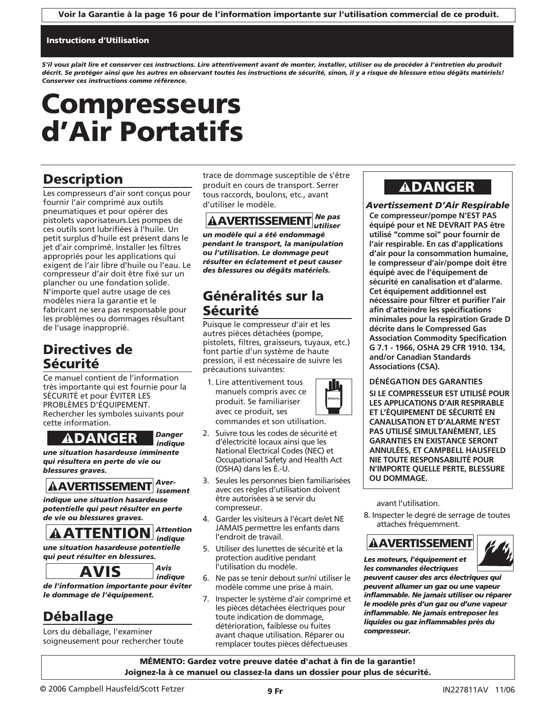### Instructions d'Utilisation

*S'il vous plaît lire et conserver ces instructions. Lire attentivement avant de monter, installer, utiliser ou de procéder à l'entretien du produit décrit. Se protéger ainsi que les autres en observant toutes les instructions de sécurité, sinon, il y a risque de blessure et/ou dégâts matériels! Conserver ces instructions comme référence.*

# Compresseurs d'Air Portatifs

## **Description**

Les compresseurs d'air sont conçus pour fournir l'air comprimé aux outils pneumatiques et pour opérer des pistolets vaporisateurs.Les pompes de ces outils sont lubrifiées à l'huile. Un petit surplus d'huile est présent dans le jet d'air comprimé. Installer les filtres appropriés pour les applications qui exigent de l'air libre d'huile ou l'eau. Le compresseur d'air doit être fixé sur un plancher ou une fondation solide. N'importe quel autre usage de ces modèles niera la garantie et le fabricant ne sera pas responsable pour les problèmes ou dommages résultant de l'usage inapproprié.

## Directives de Sécurité

Ce manuel contient de l'information très importante qui est fournie pour la SÉCURITÉ et pour ÉVITER LES PROBLÈMES D'ÉQUIPEMENT. Rechercher les symboles suivants pour cette information.

### *Danger indique*

*une situation hasardeuse imminente qui résultera en perte de vie ou blessures graves.*

### *Averissement*

*indique une situation hasardeuse potentielle qui peut résulter en perte de vie ou blessures graves.* **ADANGER**<br> **Explore Situation hasardeuse imn**<br> **il résultera en perte de vie essures graves.**<br> **AAVERTISSEMENT**<br>
dique une situation hasarde<br>
tentielle qui peut résulter en perteur de la prince de la partie de la prince de

### *Attention indique*

*une situation hasardeuse potentielle qui peut résulter en blessures.*

*Avis* 

*indique de l'information importante pour éviter le dommage de l'équipement.*

## Déballage

Lors du déballage, l'examiner soigneusement pour rechercher toute trace de dommage susceptible de s'être produit en cours de transport. Serrer tous raccords, boulons, etc., avant d'utiliser le modèle.

*Ne pas utiliser un modèle qui a été endommagé pendant le transport, la manipulation ou l'utilisation. Le dommage peut résulter en éclatement et peut causer des blessures ou dégâts matériels.* **AAVERTISSEMENT** 

## Généralités sur la Sécurité

Puisque le compresseur d'air et les autres pièces détachées (pompe, pistolets, filtres, graisseurs, tuyaux, etc.) font partie d'un système de haute pression, il est nécessaire de suivre les précautions suivantes:

1. Lire attentivement tous manuels compris avec ce produit. Se familiariser avec ce produit, ses commandes et son utilisation.



- 2. Suivre tous les codes de sécurité et d'électricité locaux ainsi que les National Electrical Codes (NEC) et Occupational Safety and Health Act (OSHA) dans les É.-U.
- 3. Seules les personnes bien familiarisées avec ces règles d'utilisation doivent être autorisées à se servir du compresseur.
- 4. Garder les visiteurs à l'écart de/et NE JAMAIS permettre les enfants dans l'endroit de travail.
- 5. Utiliser des lunettes de sécurité et la protection auditive pendant l'utilisation du modèle.
- 6. Ne pas se tenir debout sur/ni utiliser le modèle comme une prise à main.
- 7. Inspecter le système d'air comprimé et les pièces détachées électriques pour toute indication de dommage, détérioration, faiblesse ou fuites avant chaque utilisation. Réparer ou remplacer toutes pièces défectueuses

## **ADANGER**

*Avertissement D'Air Respirable* **Ce compresseur/pompe N'EST PAS équipé pour et NE DEVRAIT PAS être utilisé "comme soi" pour fournir de l'air respirable. En cas d'applications d'air pour la consommation humaine, le compresseur d'air/pompe doit être équipé avec de l'équipement de sécurité en canalisation et d'alarme. Cet équipement additionnel est nécessaire pour filtrer et purifier l'air afin d'atteindre les spécifications minimales pour la respiration Grade D décrite dans le Compressed Gas Association Commodity Specification G 7.1 - 1966, OSHA 29 CFR 1910. 134, and/or Canadian Standards Associations (CSA).**

### **DÉNÉGATION DES GARANTIES**

**SI LE COMPRESSEUR EST UTILISÉ POUR LES APPLICATIONS D'AIR RESPIRABLE ET L'ÉQUIPEMENT DE SÉCURITÉ EN CANALISATION ET D'ALARME N'EST PAS UTILISÉ SIMULTANÉMENT, LES GARANTIES EN EXISTANCE SERONT ANNULÉES, ET CAMPBELL HAUSFELD NIE TOUTE RESPONSABILITÉ POUR N'IMPORTE QUELLE PERTE, BLESSURE OU DOMMAGE.**

avant l'utilisation.

8. Inspecter le degré de serrage de toutes attaches fréquemment.

## **AAVERTISSEMENT**



*Les moteurs, l'équipement et les commandes électriques*

*peuvent causer des arcs électriques qui peuvent allumer un gaz ou une vapeur inflammable. Ne jamais utiliser ou réparer le modèle près d'un gaz ou d'une vapeur inflammable. Ne jamais entreposer les liquides ou gaz inflammables près du compresseur.*

MÉMENTO: Gardez votre preuve datée d'achat à fin de la garantie! Joignez-la à ce manuel ou classez-la dans un dossier pour plus de sécurité.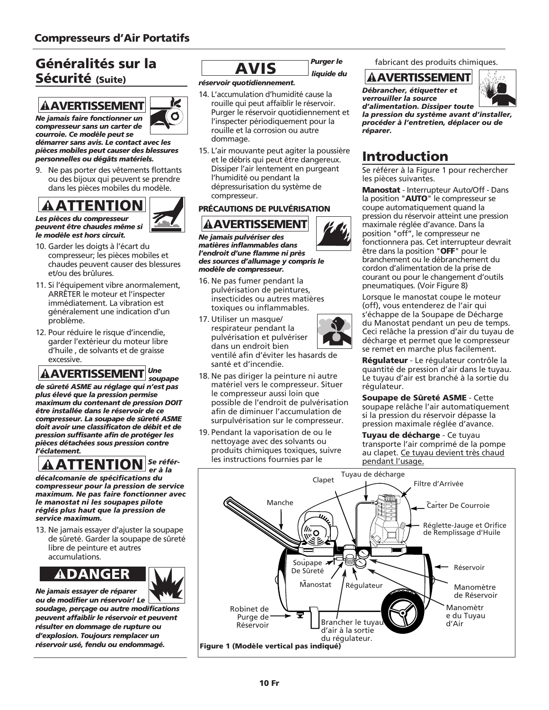## Généralités sur la Sécurité (Suite)



<u> minility</u>

*courroie. Ce modèle peut se démarrer sans avis. Le contact avec les pièces mobiles peut causer des blessures*

*personnelles ou dégâts matériels.* Ne pas porter des vêtements flottants ou des bijoux qui peuvent se prendre

dans les pièces mobiles du modèle.

### *Les pièces du compresseur peuvent être chaudes même si le modèle est hors circuit.*

- 10. Garder les doigts à l'écart du compresseur; les pièces mobiles et chaudes peuvent causer des blessures et/ou des brûlures.
- 11. Si l'équipement vibre anormalement, ARRÊTER le moteur et l'inspecter immédiatement. La vibration est généralement une indication d'un problème.
- 12. Pour réduire le risque d'incendie, garder l'extérieur du moteur libre d'huile , de solvants et de graisse excessive.

### *Une soupape*

*de sûreté ASME au réglage qui n'est pas plus élevé que la pression permise maximum du contenant de pression DOIT être installée dans le réservoir de ce compresseur. La soupape de sûreté ASME doit avoir une classificaton de débit et de pression suffisante afin de protéger les pièces détachées sous pression contre l'éclatement.*  ! DANGER ! ATTENTION ! AVERTISSEMENT ! ATTENTION ! AVERTISSEMENT



*décalcomanie de spécifications du compresseur pour la pression de service maximum. Ne pas faire fonctionner avec le manostat ni les soupapes pilote réglés plus haut que la pression de service maximum.*

13. Ne jamais essayer d'ajuster la soupape de sûreté. Garder la soupape de sûreté libre de peinture et autres accumulations.

*Ne jamais essayer de réparer*



*ou de modifier un réservoir! Le soudage, perçage ou autre modifications peuvent affaiblir le réservoir et peuvent résulter en dommage de rupture ou d'explosion. Toujours remplacer un réservoir usé, fendu ou endommagé.*

## *Purger le*

*liquide du*

### *réservoir quotidiennement.*

- 14. L'accumulation d'humidité cause la rouille qui peut affaiblir le réservoir. Purger le réservoir quotidiennement et l'inspecter périodiquement pour la rouille et la corrosion ou autre dommage. **Example 18 AVIS**<br>
Servoir quotidiennement.<br>
L'accumulation d'humidité le rouille qui peut affaiblir le reurger le réservoir quotidie<br>
l'inspecter périodiquement<br>
rouille et la corrosion ou au dommage.<br>
L'air mouvante peut
- 15. L'air mouvante peut agiter la poussière et le débris qui peut être dangereux. Dissiper l'air lentement en purgeant l'humidité ou pendant la dépressurisation du système de compresseur.

### PRÉCAUTIONS DE PULVÉRISATION



*Ne jamais pulvériser des matières inflammables dans l'endroit d'une flamme ni près des sources d'allumage y compris le modèle de compresseur.*

- 16. Ne pas fumer pendant la pulvérisation de peintures, insecticides ou autres matières toxiques ou inflammables.
- 17. Utiliser un masque/ respirateur pendant la pulvérisation et pulvériser dans un endroit bien

ventilé afin d'éviter les hasards de santé et d'incendie.

- 18. Ne pas diriger la peinture ni autre matériel vers le compresseur. Situer le compresseur aussi loin que possible de l'endroit de pulvérisation afin de diminuer l'accumulation de surpulvérisation sur le compresseur.
- 19. Pendant la vaporisation de ou le nettoyage avec des solvants ou produits chimiques toxiques, suivre les instructions fournies par le

fabricant des produits chimiques.

### **AAVERTISSEMENT**

*Débrancher, étiquetter et verrouiller la source d'alimentation. Dissiper toute*



*la pression du système avant d'installer, procéder à l'entretien, déplacer ou de réparer.*

## Introduction

Se référer à la Figure 1 pour rechercher les pièces suivantes.

Manostat - Interrupteur Auto/Off - Dans la position "AUTO" le compresseur se coupe automatiquement quand la pression du réservoir atteint une pression maximale réglée d'avance. Dans la position "off", le compresseur ne fonctionnera pas. Cet interrupteur devrait être dans la position "OFF" pour le branchement ou le débranchement du cordon d'alimentation de la prise de courant ou pour le changement d'outils pneumatiques. (Voir Figure 8)

Lorsque le manostat coupe le moteur (off), vous entenderez de l'air qui s'échappe de la Soupape de Décharge du Manostat pendant un peu de temps. Ceci relâche la pression d'air du tuyau de décharge et permet que le compresseur se remet en marche plus facilement.

Réqulateur - Le régulateur contrôle la quantité de pression d'air dans le tuyau. Le tuyau d'air est branché à la sortie du régulateur.

Soupape de Sûreté ASME - Cette soupape relâche l'air automatiquement si la pression du réservoir dépasse la pression maximale réglée d'avance.

Tuyau de décharge - Ce tuyau transporte l'air comprimé de la pompe au clapet. Ce tuyau devient très chaud pendant l'usage.

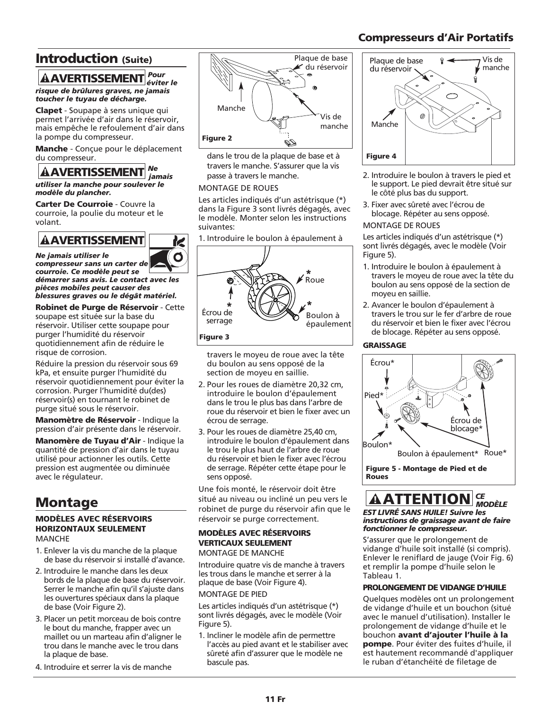### Compresseurs d'Air Portatifs

## Introduction (Suite)

### AAVERTISSEMENT<sup>Pour</sup> *éviter le*

*risque de brûlures graves, ne jamais toucher le tuyau de décharge.*

Clapet - Soupape à sens unique qui permet l'arrivée d'air dans le réservoir, mais empêche le refoulement d'air dans la pompe du compresseur. **AAVERTISSEMENT**<br>
sque de brûlures graves, ne<br>
ucher le tuyau de décharge<br>
apet - Soupape à sens uniq<br>
enter l'arrivée d'air dans le<br>
ais empêche le refoulement<br>
pompe du compresseur.<br>
anche - Conçue pour le déf<br>
de le dif

Manche - Conçue pour le déplacement du compresseur.

### *Ne jamais*

*utiliser la manche pour soulever le modèle du plancher.*

Carter De Courroie - Couvre la courroie, la poulie du moteur et le volant.

*Ne jamais utiliser le compresseur sans un carter de courroie. Ce modèle peut se*

*démarrer sans avis. Le contact avec les pièces mobiles peut causer des blessures graves ou le dégât matériel.*

Robinet de Purge de Réservoir - Cette soupape est située sur la base du réservoir. Utiliser cette soupape pour purger l'humidité du réservoir quotidiennement afin de réduire le risque de corrosion.

Réduire la pression du réservoir sous 69 kPa, et ensuite purger l'humidité du réservoir quotidiennement pour éviter la corrosion. Purger l'humidité du(des) réservoir(s) en tournant le robinet de purge situé sous le réservoir.

Manomètre de Réservoir - Indique la pression d'air présente dans le réservoir.

Manomère de Tuvau d'Air - Indique la quantité de pression d'air dans le tuyau utilisé pour actionner les outils. Cette pression est augmentée ou diminuée avec le régulateur.

## Montage

### MODÈLES AVEC RÉSERVOIRS HORIZONTAUX SEULEMENT MANCHE

- 1. Enlever la vis du manche de la plaque de base du réservoir si installé d'avance.
- 2. Introduire le manche dans les deux bords de la plaque de base du réservoir. Serrer le manche afin qu'il s'ajuste dans les ouvertures spéciaux dans la plaque de base (Voir Figure 2).
- 3. Placer un petit morceau de bois contre le bout du manche, frapper avec un maillet ou un marteau afin d'aligner le trou dans le manche avec le trou dans la plaque de base.
- 4. Introduire et serrer la vis de manche



dans le trou de la plaque de base et à travers le manche. S'assurer que la vis passe à travers le manche.

### MONTAGE DE ROUES

K Ø

Les articles indiqués d'un astétrisque (\*) dans la Figure 3 sont livrés dégagés, avec le modèle. Monter selon les instructions suivantes:

1. Introduire le boulon à épaulement à



travers le moyeu de roue avec la tête du boulon au sens opposé de la section de moyeu en saillie.

- 2. Pour les roues de diamètre 20,32 cm, introduire le boulon d'épaulement dans le trou le plus bas dans l'arbre de roue du réservoir et bien le fixer avec un écrou de serrage.
- 3. Pour les roues de diamètre 25,40 cm, introduire le boulon d'épaulement dans le trou le plus haut de l'arbre de roue du réservoir et bien le fixer avec l'écrou de serrage. Répéter cette étape pour le sens opposé.

Une fois monté, le réservoir doit être situé au niveau ou incliné un peu vers le robinet de purge du réservoir afin que le réservoir se purge correctement.

### MODÈLES AVEC RÉSERVOIRS VERTICAUX SEULEMENT MONTAGE DE MANCHE

Introduire quatre vis de manche à travers les trous dans le manche et serrer à la plaque de base (Voir Figure 4).

### MONTAGE DE PIED

Les articles indiqués d'un astétrisque (\*) sont livrés dégagés, avec le modèle (Voir Figure 5).

1. Incliner le modèle afin de permettre l'accès au pied avant et le stabiliser avec sûreté afin d'assurer que le modèle ne bascule pas.



- 2. Introduire le boulon à travers le pied et le support. Le pied devrait être situé sur le côté plus bas du support.
- 3. Fixer avec sûreté avec l'écrou de blocage. Répéter au sens opposé.

### MONTAGE DE ROUES

Les articles indiqués d'un astétrisque (\*) sont livrés dégagés, avec le modèle (Voir Figure 5).

- 1. Introduire le boulon à épaulement à travers le moyeu de roue avec la tête du boulon au sens opposé de la section de moyeu en saillie.
- 2. Avancer le boulon d'épaulement à travers le trou sur le fer d'arbre de roue du réservoir et bien le fixer avec l'écrou de blocage. Répéter au sens opposé.

### GRAISSAGE



### *CE MODÈLE* **AATTENTION**

*EST LIVRÉ SANS HUILE! Suivre les instructions de graissage avant de faire fonctionner le compresseur.*

S'assurer que le prolongement de vidange d'huile soit installé (si compris). Enlever le reniflard de jauge (Voir Fig. 6) et remplir la pompe d'huile selon le Tableau 1.

### PROLONGEMENT DE VIDANGE D'HUILE

Quelques modèles ont un prolongement de vidange d'huile et un bouchon (situé avec le manuel d'utilisation). Installer le prolongement de vidange d'huile et le bouchon avant d'ajouter l'huile à la pompe. Pour éviter des fuites d'huile, il est hautement recommandé d'appliquer le ruban d'étanchéité de filetage de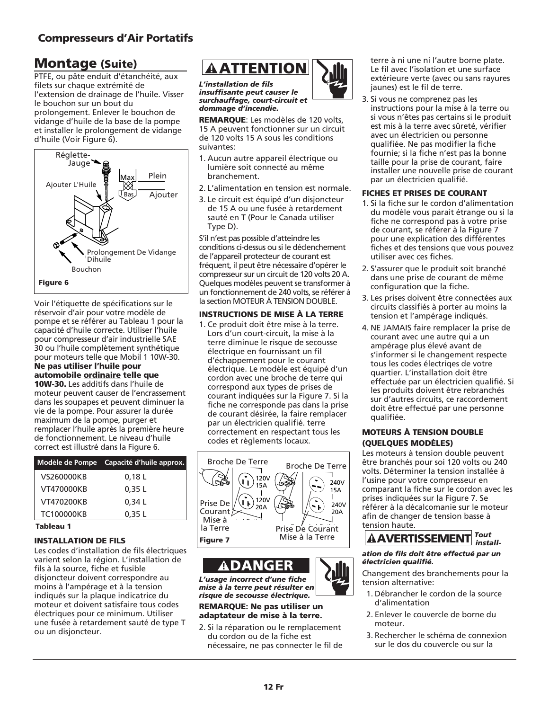## Montage (Suite)

PTFE, ou pâte enduit d'étanchéité, aux filets sur chaque extrémité de l'extension de drainage de l'huile. Visser le bouchon sur un bout du prolongement. Enlever le bouchon de vidange d'huile de la base de la pompe et installer le prolongement de vidange d'huile (Voir Figure 6).



Voir l'étiquette de spécifications sur le réservoir d'air pour votre modèle de pompe et se référer au Tableau 1 pour la capacité d'huile correcte. Utiliser l'huile pour compresseur d'air industrielle SAE 30 ou l'huile complètement synthétique pour moteurs telle que Mobil 1 10W-30. Ne pas utiliser l'huile pour automobile ordinaire telle que 10W-30. Les additifs dans l'huile de moteur peuvent causer de l'encrassement dans les soupapes et peuvent diminuer la vie de la pompe. Pour assurer la durée maximum de la pompe, purger et remplacer l'huile après la première heure de fonctionnement. Le niveau d'huile correct est illustré dans la Figure 6.

|            | Modèle de Pompe Capacité d'huile approx. |
|------------|------------------------------------------|
| VS260000KB | 0,18L                                    |
| VT470000KB | 0.35L                                    |
| VT470200KB | 0.34L                                    |
| TC100000KB | 0.35L                                    |

### Tableau 1

### INSTALLATION DE FILS

Les codes d'installation de fils électriques varient selon la région. L'installation de fils à la source, fiche et fusible disjoncteur doivent correspondre au moins à l'ampérage et à la tension indiqués sur la plaque indicatrice du moteur et doivent satisfaire tous codes électriques pour ce minimum. Utiliser une fusée à retardement sauté de type T ou un disjoncteur.

*L'installation de fils insuffisante peut causer le surchauffage, court-circuit et dommage d'incendie.*

REMARQUE: Les modèles de 120 volts, 15 A peuvent fonctionner sur un circuit de 120 volts 15 A sous les conditions suivantes:

- 1. Aucun autre appareil électrique ou lumière soit connecté au même branchement.
- 2. L'alimentation en tension est normale.
- 3. Le circuit est équipé d'un disjoncteur de 15 A ou une fusée à retardement sauté en T (Pour le Canada utiliser Type D).

S'il n'est pas possible d'atteindre les conditions ci-dessus ou si le déclenchement de l'appareil protecteur de courant est fréquent, il peut être nécessaire d'opérer le compresseur sur un circuit de 120 volts 20 A. Quelques modèles peuvent se transformer à un fonctionnement de 240 volts, se référer à la section MOTEUR À TENSION DOUBLE.

### INSTRUCTIONS DE MISE À LA TERRE

1. Ce produit doit être mise à la terre. Lors d'un court-circuit, la mise à la terre diminue le risque de secousse électrique en fournissant un fil d'échappement pour le courant électrique. Le modèle est équipé d'un cordon avec une broche de terre qui correspond aux types de prises de courant indiquées sur la Figure 7. Si la fiche ne corresponde pas dans la prise de courant désirée, la faire remplacer par un électricien qualifié. terre correctement en respectant tous les codes et règlements locaux. **EXAMPLE ANTENTION CANTENT (FOR EVALUAT CANTENT (FOR A SIMPLE TO THE CONSULTER SECTION TO A PROPERT CANTENT (FOR A SIMPLE CANTENT CANTENT (FOR A SIMPLE CANTENT CANTENT CANTENT CANTENT CANTENT CANTED AND CONSULTER THE CANT** 



*L'usage incorrect d'une fiche mise à la terre peut résulter en risque de secousse électrique.*

### REMARQUE: Ne pas utiliser un adaptateur de mise à la terre.

2. Si la réparation ou le remplacement du cordon ou de la fiche est nécessaire, ne pas connecter le fil de



3. Si vous ne comprenez pas les instructions pour la mise à la terre ou si vous n'êtes pas certains si le produit est mis à la terre avec sûreté, vérifier avec un électricien ou personne qualifiée. Ne pas modifier la fiche fournie; si la fiche n'est pas la bonne taille pour la prise de courant, faire installer une nouvelle prise de courant par un électricien qualifié.

### FICHES ET PRISES DE COURANT

- 1. Si la fiche sur le cordon d'alimentation du modèle vous parait étrange ou si la fiche ne correspond pas à votre prise de courant, se référer à la Figure 7 pour une explication des différentes fiches et des tensions que vous pouvez utiliser avec ces fiches.
- 2. S'assurer que le produit soit branché dans une prise de courant de même configuration que la fiche.
- 3. Les prises doivent être connectées aux circuits classifiés à porter au moins la tension et l'ampérage indiqués.
- 4. NE JAMAIS faire remplacer la prise de courant avec une autre qui a un ampérage plus élevé avant de s'informer si le changement respecte tous les codes électriqes de votre quartier. L'installation doit être effectuée par un électricien qualifié. Si les produits doivent être rebranchés sur d'autres circuits, ce raccordement doit être effectué par une personne qualifiée.

### MOTEURS À TENSION DOUBLE (QUELQUES MODÈLES)

Les moteurs à tension double peuvent être branchés pour soi 120 volts ou 240 volts. Déterminer la tension installée à l'usine pour votre compresseur en comparant la fiche sur le cordon avec les prises indiquées sur la Figure 7. Se référer à la décalcomanie sur le moteur afin de changer de tension basse à tension haute.

### *Tout*  $\hat{\textbf{A}}$  **AVERTISSEMENT**  $\textcolor{red}{\overline{r}_{install}}$

### *ation de fils doit être effectué par un électricien qualifié.*

Changement des branchements pour la tension alternative:

- 1. Débrancher le cordon de la source d'alimentation
- 2. Enlever le couvercle de borne du moteur.
- 3. Rechercher le schéma de connexion sur le dos du couvercle ou sur la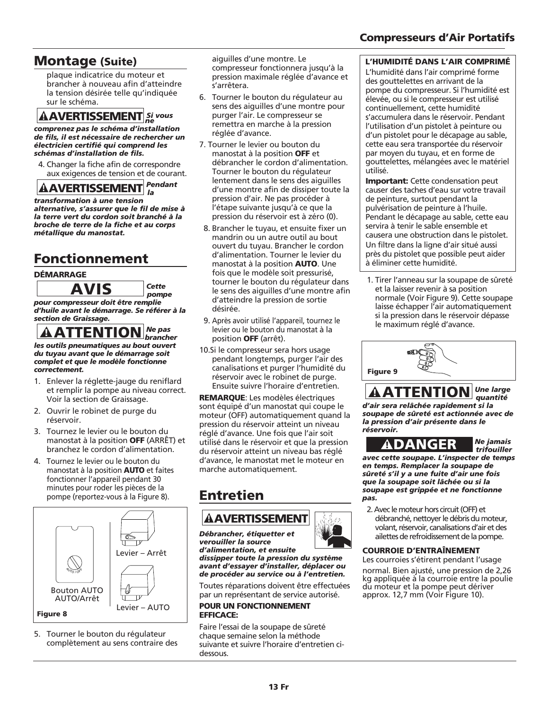## Montage (Suite)

plaque indicatrice du moteur et brancher à nouveau afin d'atteindre la tension désirée telle qu'indiquée sur le schéma.

## *Si vous ne*

*comprenez pas le schéma d'installation de fils, il est nécessaire de rechercher un électricien certifié qui comprend les schémas d'installation de fils.*

4. Changer la fiche afin de correspondre aux exigences de tension et de courant.

*Pendant la* 

*transformation à une tension alternative, s'assurer que le fil de mise à la terre vert du cordon soit branché à la broche de terre de la fiche et au corps métallique du manostat.* **AAVERTISSEMENT**<br> *mprenez pas le schéma d'instils, il est nécessaire de reetricien certifié qui comprensaire de reetricien certifié qui comprensaire de relation de fils.<br>
L. Changer la fiche afin de contra dur existence d* 

## Fonctionnement

### DÉMARRAGE

*Cette pompe pour compresseur doit être remplie d'huile avant le démarrage. Se référer à la section de Graissage.*

*Ne pas brancher les outils pneumatiques au bout ouvert du tuyau avant que le démarrage soit complet et que le modèle fonctionne correctement.*

- 1. Enlever la réglette-jauge du reniflard et remplir la pompe au niveau correct. Voir la section de Graissage.
- 2. Ouvrir le robinet de purge du réservoir.
- 3. Tournez le levier ou le bouton du manostat à la position **OFF** (ARRÊT) et branchez le cordon d'alimentation.
- 4. Tournez le levier ou le bouton du manostat à la position AUTO et faites fonctionner l'appareil pendant 30 minutes pour roder les pièces de la pompe (reportez-vous à la Figure 8).



5. Tourner le bouton du régulateur complètement au sens contraire des aiguilles d'une montre. Le compresseur fonctionnera jusqu'à la pression maximale réglée d'avance et s'arrêtera.

- 6. Tourner le bouton du régulateur au sens des aiguilles d'une montre pour purger l'air. Le compresseur se remettra en marche à la pression réglée d'avance.
- 7. Tourner le levier ou bouton du manostat à la position OFF et débrancher le cordon d'alimentation. Tourner le bouton du régulateur lentement dans le sens des aiguilles d'une montre afin de dissiper toute la pression d'air. Ne pas procéder à l'étape suivante jusqu'à ce que la pression du réservoir est à zéro (0).
- 8. Brancher le tuyau, et ensuite fixer un mandrin ou un autre outil au bout ouvert du tuyau. Brancher le cordon d'alimentation. Tourner le levier du manostat à la position AUTO. Une fois que le modèle soit pressurisé, tourner le bouton du régulateur dans le sens des aiguilles d'une montre afin d'atteindre la pression de sortie désirée.
- 9. Après avoir utilisé l'appareil, tournez le levier ou le bouton du manostat à la position OFF (arrêt).
- 10.Si le compresseur sera hors usage pendant longtemps, purger l'air des canalisations et purger l'humidité du réservoir avec le robinet de purge. Ensuite suivre l'horaire d'entretien.

REMARQUE: Les modèles électriques sont équipé d'un manostat qui coupe le moteur (OFF) automatiquement quand la pression du réservoir atteint un niveau réglé d'avance. Une fois que l'air soit utilisé dans le réservoir et que la pression du réservoir atteint un niveau bas réglé d'avance, le manostat met le moteur en marche automatiquement.

## Entretien

## **AAVERTISSEMENT**

*Débrancher, étiquetter et verouiller la source*

*d'alimentation, et ensuite dissipper toute la pression du système avant d'essayer d'installer, déplacer ou de procéder au service ou à l'entretien.*

Toutes réparations doivent être effectuées par un représentant de service autorisé.

### POUR UN FONCTIONNEMENT EFFICACE:

Faire l'essai de la soupape de sûreté chaque semaine selon la méthode suivante et suivre l'horaire d'entretien cidessous.

## Compresseurs d'Air Portatifs

### L'HUMIDITÉ DANS L'AIR COMPRIMÉ

L'humidité dans l'air comprimé forme des gouttelettes en arrivant de la pompe du compresseur. Si l'humidité est élevée, ou si le compresseur est utilisé continuellement, cette humidité s'accumulera dans le réservoir. Pendant l'utilisation d'un pistolet à peinture ou d'un pistolet pour le décapage au sable, cette eau sera transportée du réservoir par moyen du tuyau, et en forme de gouttelettes, mélangées avec le matériel utilisé.

**Important:** Cette condensation peut causer des taches d'eau sur votre travail de peinture, surtout pendant la pulvérisation de peinture à l'huile. Pendant le décapage au sable, cette eau servira à tenir le sable ensemble et causera une obstruction dans le pistolet. Un filtre dans la ligne d'air situé aussi près du pistolet que possible peut aider à éliminer cette humidité.

1. Tirer l'anneau sur la soupape de sûreté et la laisser revenir à sa position normale (Voir Figure 9). Cette soupape laisse échapper l'air automatiquement si la pression dans le réservoir dépasse le maximum réglé d'avance.



### *Une large quantité*

*d'air sera relâchée rapidement si la soupape de sûreté est actionnée avec de la pression d'air présente dans le réservoir.* **AATTENTION**<br> *air sera relâchée rapidemeniqupape de sûreté est actionn<br>
pression d'air présente dans<br>
servoir.*<br> **ADANGER** 

## *Ne jamais*

*trifouiller avec cette soupape. L'inspecter de temps en temps. Remplacer la soupape de sûreté s'il y a une fuite d'air une fois que la soupape soit lâchée ou si la soupape est grippée et ne fonctionne pas.*

2. Avec le moteur hors circuit (OFF) et débranché, nettoyer le débris du moteur, volant, réservoir, canalisations d'air et des ailettes de refroidissement de la pompe.

### COURROIE D'ENTRAÎNEMENT

Les courroies s'étirent pendant l'usage normal. Bien ajusté, une pression de 2,26

kg appliquée à la courroie entre la poulie du moteur et la pompe peut dériver approx. 12,7 mm (Voir Figure 10).

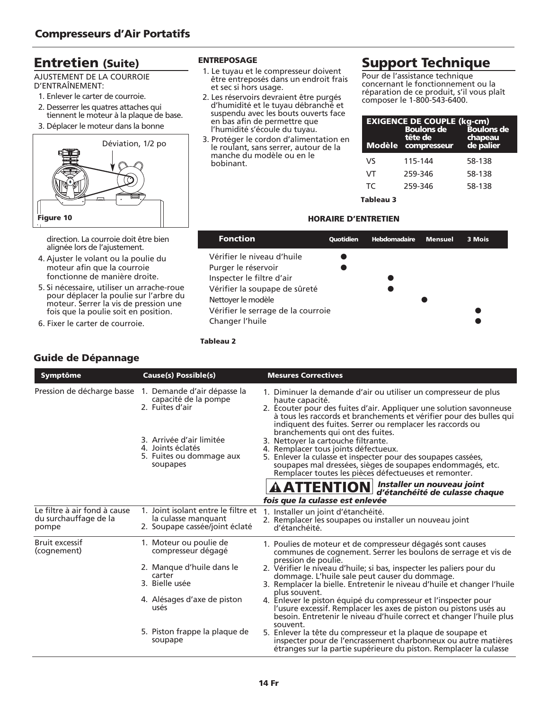## Entretien (Suite)

AJUSTEMENT DE LA COURROIE D'ENTRAÎNEMENT:

- 1. Enlever le carter de courroie.
- 2. Desserrer les quatres attaches qui tiennent le moteur à la plaque de base.
- 3. Déplacer le moteur dans la bonne



direction. La courroie doit être bien alignée lors de l'ajustement.

- 4. Ajuster le volant ou la poulie du moteur afin que la courroie fonctionne de manière droite.
- 5. Si nécessaire, utiliser un arrache-roue pour déplacer la poulie sur l'arbre du moteur. Serrer la vis de pression une fois que la poulie soit en position.
- 6. Fixer le carter de courroie.

### Guide de Dépannage

### ENTREPOSAGE

- 1. Le tuyau et le compresseur doivent être entreposés dans un endroit frais et sec si hors usage.
- 2. Les réservoirs devraient être purgés d'humidité et le tuyau débranché et suspendu avec les bouts ouverts face en bas afin de permettre que l'humidité s'écoule du tuyau.
- 3. Protéger le cordon d'alimentation en le roulant, sans serrer, autour de la manche du modèle ou en le bobinant.

## Support Technique

Pour de l'assistance technique concernant le fonctionnement ou la réparation de ce produit, s'il vous plaît composer le 1-800-543-6400.

| <b>EXIGENCE DE COUPLE (kg-cm)</b><br><b>Boulons de</b><br><b>Boulons de</b><br>tête de<br>chapeau<br>de palier<br>Modèle compresseur |         |        |
|--------------------------------------------------------------------------------------------------------------------------------------|---------|--------|
| V٢                                                                                                                                   | 115-144 | 58-138 |
| VT                                                                                                                                   | 259-346 | 58-138 |
| TC.                                                                                                                                  | 259-346 | 58-138 |
| Tableau 3                                                                                                                            |         |        |

### HORAIRE D'ENTRETIEN

| <b>Fonction</b>                    | Quotidien | <b>Hebdomadaire</b> | <b>Mensuel</b> | 3 Mois |
|------------------------------------|-----------|---------------------|----------------|--------|
| Vérifier le niveau d'huile         |           |                     |                |        |
| Purger le réservoir                |           |                     |                |        |
| Inspecter le filtre d'air          |           |                     |                |        |
| Vérifier la soupape de sûreté      |           |                     |                |        |
| Nettoyer le modèle                 |           |                     |                |        |
| Vérifier le serrage de la courroie |           |                     |                |        |
| Changer l'huile                    |           |                     |                |        |

### Tableau 2

| <b>Symptôme</b>                                                | <b>Cause(s) Possible(s)</b>                                                                  | <b>Mesures Correctives</b>                                                                                                                                                                                                                                                                              |
|----------------------------------------------------------------|----------------------------------------------------------------------------------------------|---------------------------------------------------------------------------------------------------------------------------------------------------------------------------------------------------------------------------------------------------------------------------------------------------------|
| Pression de décharge basse                                     | 1. Demande d'air dépasse la<br>capacité de la pompe<br>2. Fuites d'air                       | 1. Diminuer la demande d'air ou utiliser un compresseur de plus<br>haute capacité.<br>2. Écouter pour des fuites d'air. Appliquer une solution savonneuse<br>à tous les raccords et branchements et vérifier pour des bulles qui<br>indiquent des fuites. Serrer ou remplacer les raccords ou           |
|                                                                | 3. Arrivée d'air limitée<br>4. Joints éclatés<br>5. Fuites ou dommage aux<br>soupapes        | branchements qui ont des fuites.<br>3. Nettover la cartouche filtrante.<br>4. Remplacer tous joints défectueux.<br>5. Enlever la culasse et inspecter pour des soupapes cassées,<br>soupapes mal dressées, sièges de soupapes endommagés, etc.<br>Remplacer toutes les pièces défectueuses et remonter. |
|                                                                |                                                                                              | AATTENTION d'étanchéité de culasse che<br>d'étanchéité de culasse chaque<br>fois que la culasse est enlevée                                                                                                                                                                                             |
| Le filtre à air fond à cause<br>du surchauffage de la<br>pompe | 1. Joint isolant entre le filtre et<br>la culasse manquant<br>2. Soupape cassée/joint éclaté | 1. Installer un joint d'étanchéité.<br>2. Remplacer les soupapes ou installer un nouveau joint<br>d'étanchéité.                                                                                                                                                                                         |
| Bruit excessif<br>(cognement)                                  | 1. Moteur ou poulie de<br>compresseur dégagé                                                 | 1. Poulies de moteur et de compresseur dégagés sont causes<br>communes de cognement. Serrer les boulons de serrage et vis de<br>pression de poulie.                                                                                                                                                     |
|                                                                | 2. Manque d'huile dans le<br>carter<br>3. Bielle usée                                        | 2. Vérifier le niveau d'huile; si bas, inspecter les paliers pour du<br>dommage. L'huile sale peut causer du dommage.<br>3. Remplacer la bielle. Entretenir le niveau d'huile et changer l'huile                                                                                                        |
|                                                                | 4. Alésages d'axe de piston<br>usés                                                          | plus souvent.<br>4. Enlever le piston équipé du compresseur et l'inspecter pour<br>l'usure excessif. Remplacer les axes de piston ou pistons usés au<br>besoin. Entretenir le niveau d'huile correct et changer l'huile plus                                                                            |
|                                                                | 5. Piston frappe la plaque de<br>soupape                                                     | souvent.<br>5. Enlever la tête du compresseur et la plaque de soupape et<br>inspecter pour de l'encrassement charbonneux ou autre matières<br>étranges sur la partie supérieure du piston. Remplacer la culasse                                                                                         |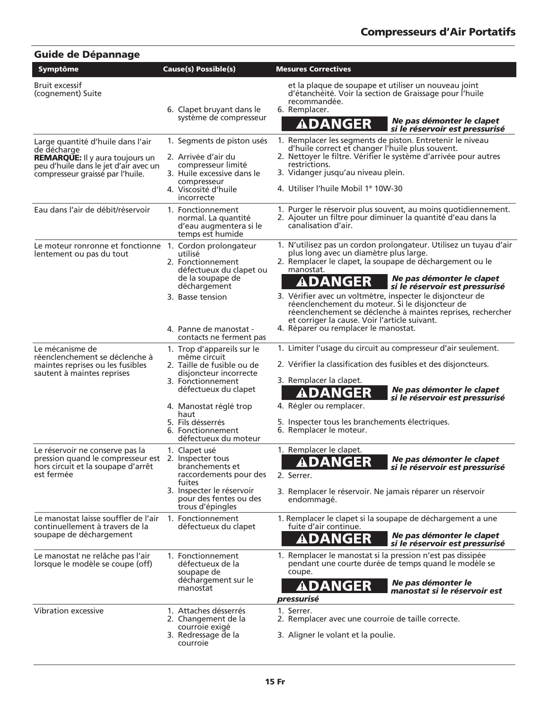| <b>Guide de Dépannage</b>                                                                                                                                                                                    |                                                                                                                                                                                                                                                      |                                                                                                                                                                                                                                                                                                                                                                                                                                                                                                                                                |
|--------------------------------------------------------------------------------------------------------------------------------------------------------------------------------------------------------------|------------------------------------------------------------------------------------------------------------------------------------------------------------------------------------------------------------------------------------------------------|------------------------------------------------------------------------------------------------------------------------------------------------------------------------------------------------------------------------------------------------------------------------------------------------------------------------------------------------------------------------------------------------------------------------------------------------------------------------------------------------------------------------------------------------|
| Symptôme                                                                                                                                                                                                     | <b>Cause(s) Possible(s)</b>                                                                                                                                                                                                                          | <b>Mesures Correctives</b>                                                                                                                                                                                                                                                                                                                                                                                                                                                                                                                     |
| Bruit excessif<br>(cognement) Suite                                                                                                                                                                          | 6. Clapet bruyant dans le<br>système de compresseur                                                                                                                                                                                                  | et la plaque de soupape et utiliser un nouveau joint<br>d'étanchéité. Voir la section de Graissage pour l'huile<br>recommandée.<br>6. Remplacer.<br>Ne pas démonter le clapet<br>ADANGER<br>si le réservoir est pressurisé                                                                                                                                                                                                                                                                                                                     |
| Large quantité d'huile dans l'air<br>de décharge<br><b>REMARQUE:</b> Il y aura toujours un<br>peu d'huile dans le jet d'air avec un<br>compresseur graissé par l'huile.<br>Eau dans l'air de débit/réservoir | 1. Segments de piston usés<br>2. Arrivée d'air du<br>compresseur limité<br>3. Huile excessive dans le<br>compresseur<br>4. Viscosité d'huile<br>incorrecte<br>1. Fonctionnement<br>normal. La quantité<br>d'eau augmentera si le<br>temps est humide | 1. Remplacer les segments de piston. Entretenir le niveau<br>d'huile correct et changer l'huile plus souvent.<br>2. Nettoyer le filtre. Vérifier le système d'arrivée pour autres<br>restrictions.<br>3. Vidanger jusqu'au niveau plein.<br>4. Utiliser l'huile Mobil 1 <sup>®</sup> 10W-30<br>1. Purger le réservoir plus souvent, au moins quotidiennement.<br>2. Ajouter un filtre pour diminuer la quantité d'eau dans la<br>canalisation d'air.                                                                                           |
| Le moteur ronronne et fonctionne 1. Cordon prolongateur<br>lentement ou pas du tout                                                                                                                          | utilisé<br>2. Fonctionnement<br>défectueux du clapet ou<br>de la soupape de<br>déchargement<br>3. Basse tension<br>4. Panne de manostat -<br>contacts ne ferment pas                                                                                 | 1. N'utilisez pas un cordon prolongateur. Utilisez un tuyau d'air<br>plus long avec un diamètre plus large.<br>2. Remplacer le clapet, la soupape de déchargement ou le<br>manostat.<br>Ne pas démonter le clapet<br><b>ADANGER</b><br>si le réservoir est pressurisé<br>3. Vérifier avec un voltmètre, inspecter le disjoncteur de<br>réenclenchement du moteur. Si le disjoncteur de<br>réenclenchement se déclenche à maintes reprises, rechercher<br>et corriger la cause. Voir l'article suivant.<br>4. Réparer ou remplacer le manostat. |
| Le mécanisme de<br>réenclenchement se déclenche à<br>maintes reprises ou les fusibles<br>sautent à maintes reprises                                                                                          | 1. Trop d'appareils sur le<br>même circuit<br>2. Taille de fusible ou de<br>disjoncteur incorrecte<br>3. Fonctionnement<br>défectueux du clapet<br>4. Manostat réglé trop<br>haut<br>5. Fils désserrés<br>6. Fonctionnement<br>défectueux du moteur  | 1. Limiter l'usage du circuit au compresseur d'air seulement.<br>2. Vérifier la classification des fusibles et des disjoncteurs.<br>3. Remplacer la clapet.<br>Ne pas démonter le clapet<br>ADANGER<br>si le réservoir est pressurisé<br>4. Régler ou remplacer.<br>5. Inspecter tous les branchements électriques.<br>6. Remplacer le moteur.                                                                                                                                                                                                 |
| Le réservoir ne conserve pas la<br>pression quand le compresseur est 2. Inspecter tous<br>hors circuit et la soupape d'arrêt<br>est fermée                                                                   | 1. Clapet usé<br>branchements et<br>raccordements pour des<br>fuites<br>3. Inspecter le réservoir<br>pour des fentes ou des<br>trous d'épingles                                                                                                      | 1. Remplacer le clapet.<br>Ne pas démonter le clapet<br>ADANGER<br>si le réservoir est pressurisé<br>2. Serrer.<br>3. Remplacer le réservoir. Ne jamais réparer un réservoir<br>endommagé.                                                                                                                                                                                                                                                                                                                                                     |
| Le manostat laisse souffler de l'air<br>continuellement à travers de la<br>soupape de déchargement                                                                                                           | 1. Fonctionnement<br>défectueux du clapet                                                                                                                                                                                                            | 1. Remplacer le clapet si la soupape de déchargement a une<br>fuite d'air continue.<br>Ne pas démonter le clapet<br>ADANGER<br>si le réservoir est pressurisé                                                                                                                                                                                                                                                                                                                                                                                  |
| Le manostat ne relâche pas l'air<br>lorsque le modèle se coupe (off)                                                                                                                                         | 1. Fonctionnement<br>défectueux de la<br>soupape de<br>déchargement sur le<br>manostat                                                                                                                                                               | 1. Remplacer le manostat si la pression n'est pas dissipée<br>pendant une courte durée de temps quand le modèle se<br>coupe.<br>Ne pas démonter le<br>ADANGER<br>manostat și le réservoir est<br>pressurisé                                                                                                                                                                                                                                                                                                                                    |
| Vibration excessive                                                                                                                                                                                          | 1. Attaches désserrés<br>2. Changement de la<br>courroie exigé<br>3. Redressage de la<br>courroie                                                                                                                                                    | 1. Serrer.<br>2. Remplacer avec une courroie de taille correcte.<br>3. Aligner le volant et la poulie.                                                                                                                                                                                                                                                                                                                                                                                                                                         |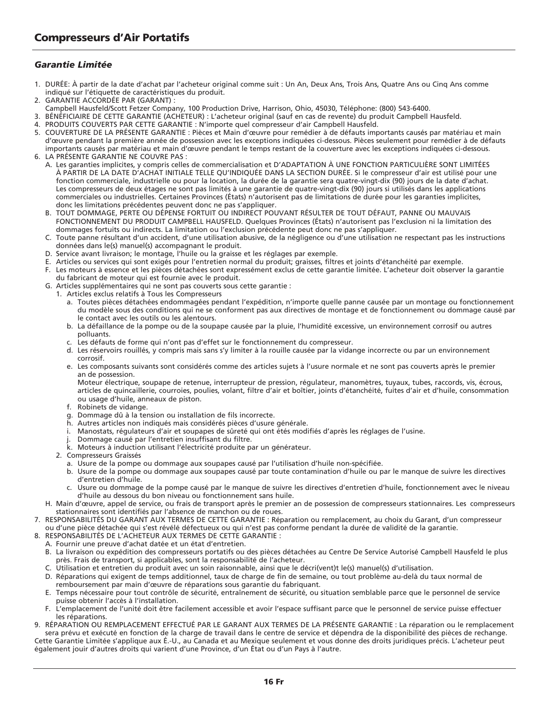### *Garantie Limitée*

- 1. DURÉE: À partir de la date d'achat par l'acheteur original comme suit : Un An, Deux Ans, Trois Ans, Quatre Ans ou Cinq Ans comme indiqué sur l'étiquette de caractéristiques du produit.
- 2. GARANTIE ACCORDÉE PAR (GARANT) :
- Campbell Hausfeld/Scott Fetzer Company, 100 Production Drive, Harrison, Ohio, 45030, Téléphone: (800) 543-6400.
- 3. BÉNÉFICIAIRE DE CETTE GARANTIE (ACHETEUR) : L'acheteur original (sauf en cas de revente) du produit Campbell Hausfeld.
- 4. PRODUITS COUVERTS PAR CETTE GARANTIE : N'importe quel compresseur d'air Campbell Hausfeld.<br>5. COUVERTURE DE LA PRÉSENTE GARANTIE : Pièces et Main d'œuvre pour remédier à de défauts imp
- 5. COUVERTURE DE LA PRÉSENTE GARANTIE : Pièces et Main d'œuvre pour remédier à de défauts importants causés par matériau et main d'œuvre pendant la première année de possession avec les exceptions indiquées ci-dessous. Pièces seulement pour remédier à de défauts importants causés par matériau et main d'œuvre pendant le temps restant de la couverture avec les exceptions indiquées ci-dessous.
- 6. LA PRÉSENTE GARANTIE NE COUVRE PAS :
	- A. Les garanties implicites, y compris celles de commercialisation et D'ADAPTATION À UNE FONCTION PARTICULIÈRE SONT LIMITÉES À PARTIR DE LA DATE D'ACHAT INITIALE TELLE QU'INDIQUÉE DANS LA SECTION DURÉE. Si le compresseur d'air est utilisé pour une fonction commerciale, industrielle ou pour la location, la durée de la garantie sera quatre-vingt-dix (90) jours de la date d'achat. Les compresseurs de deux étages ne sont pas limités à une garantie de quatre-vingt-dix (90) jours si utilisés dans les applications commerciales ou industrielles. Certaines Provinces (États) n'autorisent pas de limitations de durée pour les garanties implicites, donc les limitations précédentes peuvent donc ne pas s'appliquer.
	- B. TOUT DOMMAGE, PERTE OU DÉPENSE FORTUIT OU INDIRECT POUVANT RÉSULTER DE TOUT DÉFAUT, PANNE OU MAUVAIS FONCTIONNEMENT DU PRODUIT CAMPBELL HAUSFELD. Quelques Provinces (États) n'autorisent pas l'exclusion ni la limitation des dommages fortuits ou indirects. La limitation ou l'exclusion précédente peut donc ne pas s'appliquer.
	- C. Toute panne résultant d'un accident, d'une utilisation abusive, de la négligence ou d'une utilisation ne respectant pas les instructions données dans le(s) manuel(s) accompagnant le produit.
	- D. Service avant livraison; le montage, l'huile ou la graisse et les réglages par exemple.
	- E. Articles ou services qui sont exigés pour l'entretien normal du produit; graisses, filtres et joints d'étanchéité par exemple.
	- Les moteurs à essence et les pièces détachées sont expressément exclus de cette garantie limitée. L'acheteur doit observer la garantie du fabricant de moteur qui est fournie avec le produit.
	- G. Articles supplémentaires qui ne sont pas couverts sous cette garantie :
		- 1. Articles exclus relatifs à Tous les Compresseurs
			- a. Toutes pièces détachées endommagées pendant l'expédition, n'importe quelle panne causée par un montage ou fonctionnement du modèle sous des conditions qui ne se conforment pas aux directives de montage et de fonctionnement ou dommage causé par le contact avec les outils ou les alentours.
			- b. La défaillance de la pompe ou de la soupape causée par la pluie, l'humidité excessive, un environnement corrosif ou autres polluants.
			- c. Les défauts de forme qui n'ont pas d'effet sur le fonctionnement du compresseur.
			- d. Les réservoirs rouillés, y compris mais sans s'y limiter à la rouille causée par la vidange incorrecte ou par un environnement corrosif.
			- e. Les composants suivants sont considérés comme des articles sujets à l'usure normale et ne sont pas couverts après le premier an de possession.

Moteur électrique, soupape de retenue, interrupteur de pression, régulateur, manomètres, tuyaux, tubes, raccords, vis, écrous, articles de quincaillerie, courroies, poulies, volant, filtre d'air et boîtier, joints d'étanchéité, fuites d'air et d'huile, consommation ou usage d'huile, anneaux de piston.

- f. Robinets de vidange.
- g. Dommage dû à la tension ou installation de fils incorrecte.
- h. Autres articles non indiqués mais considérés pièces d'usure générale.
- i. Manostats, régulateurs d'air et soupapes de sûreté qui ont étés modifiés d'après les réglages de l'usine.
- Dommage causé par l'entretien insuffisant du filtre.
- k. Moteurs à induction utilisant l'électricité produite par un générateur.
- 2. Compresseurs Graissés
	- a. Usure de la pompe ou dommage aux soupapes causé par l'utilisation d'huile non-spécifiée.
	- b. Usure de la pompe ou dommage aux soupapes causé par toute contamination d'huile ou par le manque de suivre les directives d'entretien d'huile.
	- c. Usure ou dommage de la pompe causé par le manque de suivre les directives d'entretien d'huile, fonctionnement avec le niveau d'huile au dessous du bon niveau ou fonctionnement sans huile.
- H. Main d'œuvre, appel de service, ou frais de transport après le premier an de possession de compresseurs stationnaires. Les compresseurs stationnaires sont identifiés par l'absence de manchon ou de roues.
- 7. RESPONSABILITÉS DU GARANT AUX TERMES DE CETTE GARANTIE : Réparation ou remplacement, au choix du Garant, d'un compresseur ou d'une pièce détachée qui s'est révélé défectueux ou qui n'est pas conforme pendant la durée de validité de la garantie.
- 8. RESPONSABILITÉS DE L'ACHETEUR AUX TERMES DE CETTE GARANTIE :
	- A. Fournir une preuve d'achat datée et un état d'entretien.
	- B. La livraison ou expédition des compresseurs portatifs ou des pièces détachées au Centre De Service Autorisé Campbell Hausfeld le plus près. Frais de transport, si applicables, sont la responsabilité de l'acheteur.
	- C. Utilisation et entretien du produit avec un soin raisonnable, ainsi que le décri(vent)t le(s) manuel(s) d'utilisation.
	- D. Réparations qui exigent de temps additionnel, taux de charge de fin de semaine, ou tout problème au-delà du taux normal de remboursement par main d'œuvre de réparations sous garantie du fabriquant.
	- E. Temps nécessaire pour tout contrôle de sécurité, entraînement de sécurité, ou situation semblable parce que le personnel de service puisse obtenir l'accès à l'installation.
	- F. L'emplacement de l'unité doit être facilement accessible et avoir l'espace suffisant parce que le personnel de service puisse effectuer les réparations.

9. RÉPARATION OU REMPLACEMENT EFFECTUÉ PAR LE GARANT AUX TERMES DE LA PRÉSENTE GARANTIE : La réparation ou le remplacement sera prévu et exécuté en fonction de la charge de travail dans le centre de service et dépendra de la disponibilité des pièces de rechange. Cette Garantie Limitée s'applique aux É.-U., au Canada et au Mexique seulement et vous donne des droits juridiques précis. L'acheteur peut également jouir d'autres droits qui varient d'une Province, d'un État ou d'un Pays à l'autre.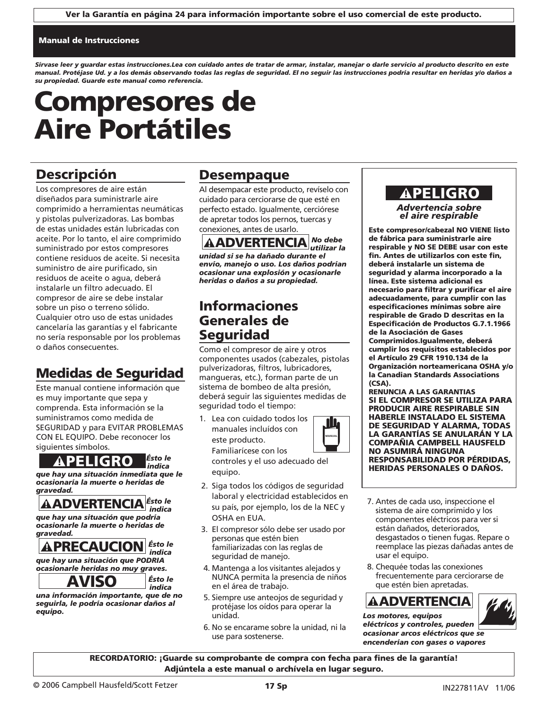### Manual de Instrucciones

*Sírvase leer y guardar estas instrucciones.Lea con cuidado antes de tratar de armar, instalar, manejar o darle servicio al producto descrito en este manual. Protéjase Ud. y a los demás observando todas las reglas de seguridad. El no seguir las instrucciones podría resultar en heridas y/o daños a su propiedad. Guarde este manual como referencia.*

# Compresores de Aire Portátiles

## Descripción

Los compresores de aire están diseñados para suministrarle aire comprimido a herramientas neumáticas y pistolas pulverizadoras. Las bombas de estas unidades están lubricadas con aceite. Por lo tanto, el aire comprimido suministrado por estos compresores contiene residuos de aceite. Si necesita suministro de aire purificado, sin residuos de aceite o agua, deberá instalarle un filtro adecuado. El compresor de aire se debe instalar sobre un piso o terreno sólido. Cualquier otro uso de estas unidades cancelaría las garantías y el fabricante no sería responsable por los problemas o daños consecuentes.

## Medidas de Seguridad

Este manual contiene información que es muy importante que sepa y comprenda. Esta información se la suministramos como medida de SEGURIDAD y para EVITAR PROBLEMAS CON EL EQUIPO. Debe reconocer los siguientes símbolos.

*Ésto le indica que hay una situación inmediata que le ocasionaría la muerte o heridas de gravedad.* **APELIGRO**<br> **Expansion and a situación inmedial asionaría la muerte o heridavedad.<br>
<b>AADVERTENCIA**<br> **AADVERTENCIA**<br> **APRECAUCION**<br> **APRECAUCION**<br> **APRECAUCION**<br> **APRECAUCION**<br> **APRECAUCION**<br> **AVISO** 

*Ésto le indica que hay una situación que podría*

*ocasionarle la muerte o heridas de gravedad.*

*Ésto le indica que hay una situación que PODRIA ocasionarle heridas no muy graves.*

*indica una información importante, que de no seguirla, le podría ocasionar daños al equipo.*

*Ésto le* 

## Desempaque

Al desempacar este producto, revíselo con cuidado para cerciorarse de que esté en perfecto estado. Igualmente, cerciórese de apretar todos los pernos, tuercas y conexiones, antes de usarlo.

*No debe*  **AADVERTENCIA** *No debe*<br>utilizar la *unidad si se ha dañado durante el envío, manejo o uso. Los daños podrían ocasionar una explosión y ocasionarle heridas o daños a su propiedad.*

## Informaciones Generales de Seguridad

Como el compresor de aire y otros componentes usados (cabezales, pistolas pulverizadoras, filtros, lubricadores, mangueras, etc.), forman parte de un sistema de bombeo de alta presión, deberá seguir las siguientes medidas de seguridad todo el tiempo:

1. Lea con cuidado todos los manuales incluídos con este producto. Familiarícese con los

controles y el uso adecuado del equipo.

- 2. Siga todos los códigos de seguridad laboral y electricidad establecidos en su país, por ejemplo, los de la NEC y OSHA en EUA.
- 3. El compresor sólo debe ser usado por personas que estén bien familiarizadas con las reglas de seguridad de manejo.
- 4. Mantenga a los visitantes alejados y NUNCA permita la presencia de niños en el área de trabajo.
- 5. Siempre use anteojos de seguridad y protéjase los oídos para operar la unidad.
- 6. No se encarame sobre la unidad, ni la use para sostenerse.

## ! PELIGRO

*Advertencia sobre el aire respirable*

Este compresor/cabezal NO VIENE listo de fábrica para suministrarle aire respirable y NO SE DEBE usar con este fin. Antes de utilizarlos con este fin, deberá instalarle un sistema de seguridad y alarma incorporado a la línea. Este sistema adicional es necesario para filtrar y purificar el aire adecuadamente, para cumplir con las especificaciones mínimas sobre aire respirable de Grado D descritas en la Especificación de Productos G.7.1.1966 de la Asociación de Gases Comprimidos.Igualmente, deberá cumplir los requisitos establecidos por el Artículo 29 CFR 1910.134 de la Organización norteamericana OSHA y/o la Canadian Standards Associations (CSA).

RENUNCIA A LAS GARANTIAS SI EL COMPRESOR SE UTILIZA PARA PRODUCIR AIRE RESPIRABLE SIN HABERLE INSTALADO EL SISTEMA DE SEGURIDAD Y ALARMA, TODAS LA GARANTÍAS SE ANULARÁN Y LA COMPAÑIA CAMPBELL HAUSFELD NO ASUMIRÁ NINGUNA RESPONSABILIDAD POR PÉRDIDAS, HERIDAS PERSONALES O DAÑOS.

- 7. Antes de cada uso, inspeccione el sistema de aire comprimido y los componentes eléctricos para ver si están dañados, deteriorados, desgastados o tienen fugas. Repare o reemplace las piezas dañadas antes de usar el equipo. **ECOMPAÑIA CAMPBELL HANDAS PERSONALES ON ASUMIRÁ NINGUNA<br>
NO ASUMIRÁ NINGUNA<br>
RESPONSABILIDAD POR P<br>
HERIDAS PERSONALES O<br>
Tridad<br>
dos en<br>
7. Antes de cada uso, inspecc<br>
sistema de aire comprimide<br>
componentes eléctricos p** 
	- 8. Chequée todas las conexiones frecuentemente para cerciorarse de que estén bien apretadas.

*Los motores, equipos eléctricos y controles, pueden ocasionar arcos eléctricos que se encenderían con gases o vapores* 

RECORDATORIO: ¡Guarde su comprobante de compra con fecha para fines de la garantía! Adjúntela a este manual o archívela en lugar seguro.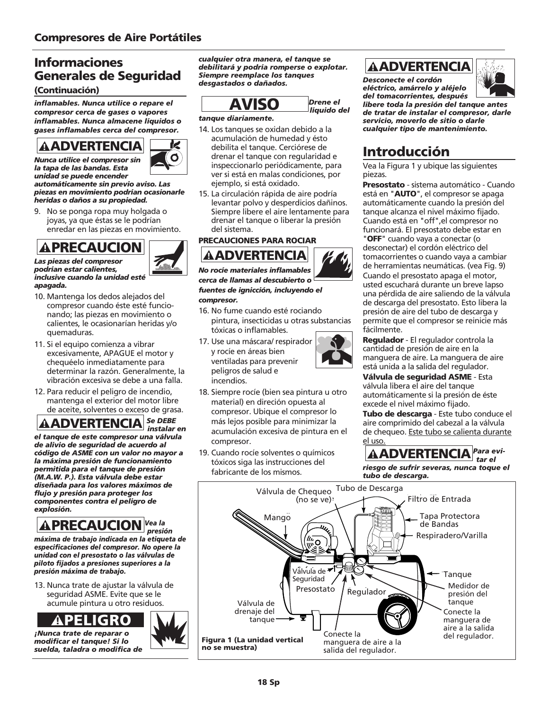### (Continuación)

*inflamables. Nunca utilice o repare el compresor cerca de gases o vapores inflamables. Nunca almacene líquidos o gases inflamables cerca del compresor.*



K O

*la tapa de las bandas. Esta unidad se puede encender automáticamente sin previo aviso. Las piezas en movimiento podrían ocasionarle*

*heridas o daños a su propiedad.* 9. No se ponga ropa muy holgada o joyas, ya que éstas se le podrían

enredar en las piezas en movimiento.

*Las piezas del compresor*



- *podrían estar calientes, inclusive cuando la unidad esté apagada.*
- 10. Mantenga los dedos alejados del compresor cuando éste esté funcionando; las piezas en movimiento o calientes, le ocasionarían heridas y/o quemaduras.
- 11. Si el equipo comienza a vibrar excesivamente, APAGUE el motor y chequéelo inmediatamente para determinar la razón. Generalmente, la vibración excesiva se debe a una falla.
- 12. Para reducir el peligro de incendio, mantenga el exterior del motor libre de aceite, solventes o exceso de grasa.

*Se DEBE instalar en*

*el tanque de este compresor una válvula de alivio de seguridad de acuerdo al código de ASME con un valor no mayor a la máxima presión de funcionamiento permitida para el tanque de presión (M.A.W. P.). Esta válvula debe estar diseñada para los valores máximos de flujo y presión para proteger los componentes contra el peligro de explosión.*  **ADVERTENCIA**<br>
mara utilice el compresor sin<br>
tapa de las bandas. Esta<br>
cidades puede encender<br>
tomáticamente sin previo au<br>
avas en movimiento podrían<br>
No se ponga ropa muy hol<br>
No se ponga ropa muy hol<br>
o encedar en las

### *Vea la presión*

*máxima de trabajo indicada en la etiqueta de especificaciones del compresor. No opere la unidad con el presostato o las válvulas de piloto fijados a presiones superiores a la presión máxima de trabajo.*

13. Nunca trate de ajustar la válvula de seguridad ASME. Evite que se le acumule pintura u otro residuos.



*¡Nunca trate de reparar o modificar el tanque! Si lo suelda, taladra o modifica de*

Informaciones<br>
debilitará y podría romperse o explotar.<br>
Generales de Seguridad Siempre reemplace los tanques<br>
Descenecte el cerdén *cualquier otra manera, el tanque se debilitará y podría romperse o explotar. Siempre reemplace los tanques desgastados o dañados.*



*Drene el líquido del*

### *tanque diariamente.*

- 14. Los tanques se oxidan debido a la acumulación de humedad y ésto debilita el tanque. Cerciórese de drenar el tanque con regularidad e inspeccionarlo periódicamente, para ver si está en malas condiciones, por ejemplo, si está oxidado. **AVISO**<br> **ENTERCE ENTERT AVESTADE AVEC ADELECTE SERVERTERT ADDENTIFIERT AUTHORITIES (SUBSECTION AND AVEN AVERT ACT AVIAT AVERT AVERT AND ACT ANDEN ACT AND ACT AND ACT AND ACT AND ACT AND ACT AND ACT ACT AND ACT ACTION AND**
- 15. La circulación rápida de aire podría levantar polvo y desperdicios dañinos. Siempre libere el aire lentamente para drenar el tanque o liberar la presión del sistema.

### PRECAUCIONES PARA ROCIAR



*No rocíe materiales inflamables cerca de llamas al descubierto o fuentes de ignicción, incluyendo el compresor.*

- 16. No fume cuando esté rociando pintura, insecticidas u otras substancias tóxicas o inflamables.
- 17. Use una máscara/ respirador y rocíe en áreas bien ventiladas para prevenir peligros de salud e incendios.



- 18. Siempre rocíe (bien sea pintura u otro material) en direción opuesta al compresor. Ubique el compresor lo más lejos posible para minimizar la acumulación excesiva de pintura en el compresor.
- 19. Cuando rocíe solventes o químicos tóxicos siga las instrucciones del fabricante de los mismos.

*Desconecte el cordón eléctrico, amárrelo y aléjelo del tomacorrientes, después*



*libere toda la presión del tanque antes de tratar de instalar el compresor, darle servicio, moverlo de sitio o darle cualquier tipo de mantenimiento.*

## Introducción

Vea la Figura 1 y ubique las siguientes piezas.

**Presostato** - sistema automático - Cuando está en "AUTO", el compresor se apaga automáticamente cuando la presión del tanque alcanza el nivel máximo fijado. Cuando está en "off",el compresor no funcionará. El presostato debe estar en "OFF" cuando vaya a conectar (o desconectar) el cordón eléctrico del tomacorrientes o cuando vaya a cambiar de herramientas neumáticas. (vea Fig. 9) Cuando el presostato apaga el motor, usted escuchará durante un breve lapso una pérdida de aire saliendo de la válvula de descarga del presostato. Esto libera la presión de aire del tubo de descarga y permite que el compresor se reinicie más fácilmente.

Regulador - El regulador controla la cantidad de presión de aire en la manguera de aire. La manguera de aire está unida a la salida del regulador.

Válvula de seguridad ASME - Esta válvula libera el aire del tanque automáticamente si la presión de éste excede el nivel máximo fijado.

Tubo de descarga - Este tubo conduce el aire comprimido del cabezal a la válvula de chequeo. Este tubo se calienta durante el uso.

*Para evi-***AADVERTENCIA** Para e

*riesgo de sufrir severas, nunca toque el tubo de descarga.*

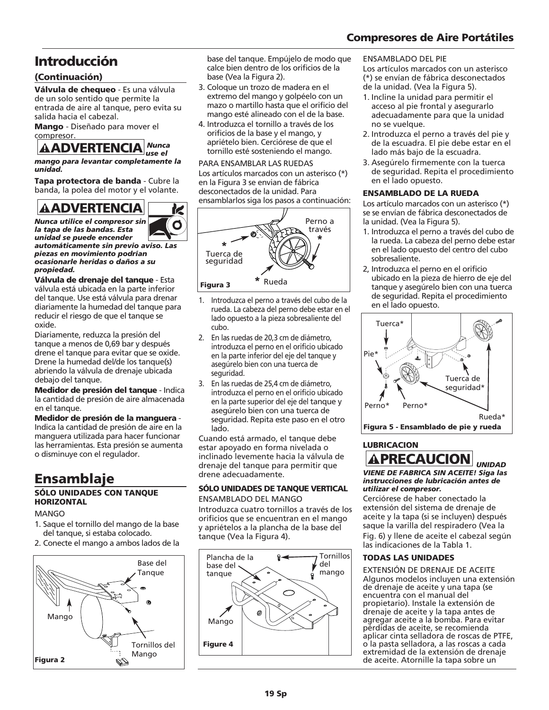### Compresores de Aire Portátiles

## Introducción

### (Continuación)

Válvula de chequeo - Es una válvula de un solo sentido que permite la entrada de aire al tanque, pero evita su salida hacia el cabezal.

Mango - Diseñado para mover el compresor.

### *Nunca use el*

*mango para levantar completamente la unidad.* 

Tapa protectora de banda - Cubre la banda, la polea del motor y el volante. **AADVERTENCIA**<br>
nango para levantar complet<br>
inidad.<br>
apa protectora de banda<br>
anda, la polea del motor y e<br> **AADVERTENCIA** 

K O

*Nunca utilice el compresor sin la tapa de las bandas. Esta unidad se puede encender*

*automáticamente sin previo aviso. Las piezas en movimiento podrían ocasionarle heridas o daños a su propiedad.*

Válvula de drenaje del tanque - Esta válvula está ubicada en la parte inferior del tanque. Use está válvula para drenar diariamente la humedad del tanque para reducir el riesgo de que el tanque se oxide.

Diariamente, reduzca la presión del tanque a menos de 0,69 bar y después drene el tanque para evitar que se oxide. Drene la humedad del/de los tanque(s) abriendo la válvula de drenaje ubicada debajo del tanque.

Medidor de presión del tanque - Indica la cantidad de presión de aire almacenada en el tanque.

### Medidor de presión de la manguera - Indica la cantidad de presión de aire en la

manguera utilizada para hacer funcionar las herramientas. Esta presión se aumenta o disminuye con el regulador.

# Ensamblaje

### SÓLO UNIDADES CON TANQUE **HORIZONTAL**

### MANGO

- 1. Saque el tornillo del mango de la base del tanque, si estaba colocado.
- 2. Conecte el mango a ambos lados de la



base del tanque. Empújelo de modo que calce bien dentro de los orificios de la base (Vea la Figura 2).

- 3. Coloque un trozo de madera en el extremo del mango y golpéelo con un mazo o martillo hasta que el orificio del mango esté alineado con el de la base.
- 4. Introduzca el tornillo a través de los orificios de la base y el mango, y apriételo bien. Cerciórese de que el tornillo esté sosteniendo el mango.

### PARA ENSAMBLAR LAS RUEDAS

Los artículos marcados con un asterisco (\*) en la Figura 3 se envian de fábrica desconectados de la unidad. Para ensamblarlos siga los pasos a continuación:



- 1. Introduzca el perno a través del cubo de la rueda. La cabeza del perno debe estar en el lado opuesto a la pieza sobresaliente del cubo.
- 2. En las ruedas de 20,3 cm de diámetro, introduzca el perno en el orificio ubicado en la parte inferior del eje del tanque y asegúrelo bien con una tuerca de seguridad.
- 3. En las ruedas de 25,4 cm de diámetro, introduzca el perno en el orificio ubicado en la parte superior del eje del tanque y asegúrelo bien con una tuerca de seguridad. Repita este paso en el otro lado.

Cuando está armado, el tanque debe estar apoyado en forma nivelada o inclinado levemente hacia la válvula de drenaje del tanque para permitir que drene adecuadamente.

### SÓLO UNIDADES DE TANQUE VERTICAL

ENSAMBLADO DEL MANGO

Introduzca cuatro tornillos a través de los orificios que se encuentran en el mango y apriételos a la plancha de la base del tanque (Vea la Figura 4).



### ENSAMBLADO DEL PIE

Los artículos marcados con un asterisco (\*) se envían de fábrica desconectados de la unidad. (Vea la Figura 5).

- 1. Incline la unidad para permitir el acceso al pie frontal y asegurarlo adecuadamente para que la unidad no se vuelque.
- 2. Introduzca el perno a través del pie y de la escuadra. El pie debe estar en el lado más bajo de la escuadra.
- 3. Asegúrelo firmemente con la tuerca de seguridad. Repita el procedimiento en el lado opuesto.

### ENSAMBLADO DE LA RUEDA

Los artículo marcados con un asterisco (\*) se se envían de fábrica desconectados de la unidad. (Vea la Figura 5).

- 1. Introduzca el perno a través del cubo de la rueda. La cabeza del perno debe estar en el lado opuesto del centro del cubo sobresaliente.
- 2, Introduzca el perno en el orificio ubicado en la pieza de hierro de eje del tanque y asegúrelo bien con una tuerca de seguridad. Repita el procedimiento en el lado opuesto.



### LUBRICACION

### **A PRECAUCION** *UNIDAD VIENE DE FABRICA SIN ACEITE! Siga las instrucciones de lubricación antes de utilizar el compresor.*

Cerciórese de haber conectado la extensión del sistema de drenaje de aceite y la tapa (si se incluyen) después saque la varilla del respiradero (Vea la Fig. 6) y llene de aceite el cabezal según las indicaciones de la Tabla 1.

### TODAS LAS UNIDADES

EXTENSIÓN DE DRENAJE DE ACEITE Algunos modelos incluyen una extensión de drenaje de aceite y una tapa (se encuentra con el manual del propietario). Instale la extensión de drenaje de aceite y la tapa antes de agregar aceite a la bomba. Para evitar pérdidas de aceite, se recomienda aplicar cinta selladora de roscas de PTFE, o la pasta selladora, a las roscas a cada extremidad de la extensión de drenaje de aceite. Atornille la tapa sobre un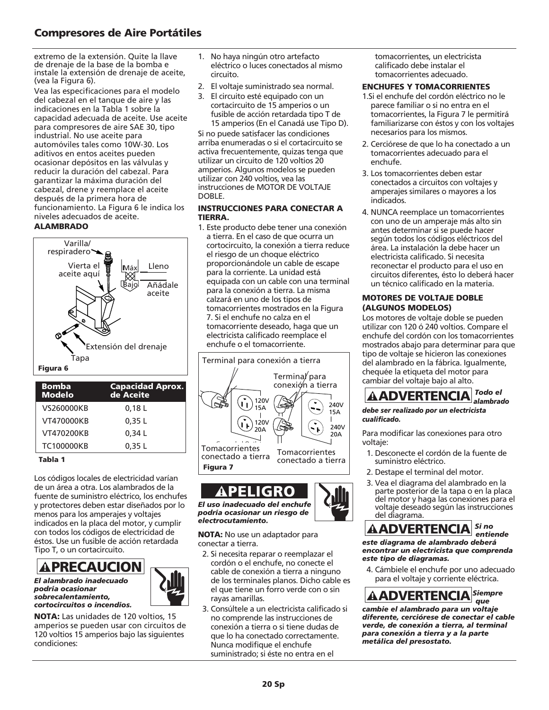### Compresores de Aire Portátiles

extremo de la extensión. Quite la llave de drenaje de la base de la bomba e instale la extensión de drenaje de aceite, (vea la Figura 6).

Vea las especificaciones para el modelo del cabezal en el tanque de aire y las indicaciones en la Tabla 1 sobre la capacidad adecuada de aceite. Use aceite para compresores de aire SAE 30, tipo industrial. No use aceite para automóviles tales como 10W-30. Los aditivos en entos aceites pueden ocasionar depósitos en las válvulas y reducir la duración del cabezal. Para garantizar la máxima duración del cabezal, drene y reemplace el aceite después de la primera hora de funcionamiento. La Figura 6 le indica los niveles adecuados de aceite.

### ALAMBRADO



| <b>Bomba</b><br><b>Modelo</b> | <b>Capacidad Aprox.</b><br>de Aceite |
|-------------------------------|--------------------------------------|
| VS260000KB                    | 0,18L                                |
| VT470000KB                    | 0.35L                                |
| VT470200KB                    | 0,34 L                               |
| TC100000KB                    | 0,35 L                               |

### Tabla 1

Los códigos locales de electricidad varían de un área a otra. Los alambrados de la fuente de suministro eléctrico, los enchufes y protectores deben estar diseñados por lo menos para los amperajes y voltajes indicados en la placa del motor, y cumplir con todos los códigos de electricidad de éstos. Use un fusible de acción retardada Tipo T, o un cortacircuito.

**APRECAUCION** 

*El alambrado inadecuado podría ocasionar sobrecalentamiento, cortocircuitos o incendios.*



NOTA: Las unidades de 120 voltios, 15 amperios se pueden usar con circuitos de 120 voltios 15 amperios bajo las siguientes condiciones:

- 1. No haya ningún otro artefacto eléctrico o luces conectados al mismo circuito.
- 2. El voltaje suministrado sea normal.
- 3. El circuito esté equipado con un cortacircuito de 15 amperios o un fusible de acción retardada tipo T de 15 amperios (En el Canadá use Tipo D).

Si no puede satisfacer las condiciones arriba enumeradas o si el cortacircuito se activa frecuentemente, quizas tenga que utilizar un circuito de 120 voltios 20 amperios. Algunos modelos se pueden utilizar con 240 voltios, vea las instrucciones de MOTOR DE VOLTAJE DOBLE.

### INSTRUCCIONES PARA CONECTAR A TIERRA.

1. Este producto debe tener una conexión a tierra. En el caso de que ocurra un cortocircuito, la conexión a tierra reduce el riesgo de un choque eléctrico proporcionándole un cable de escape para la corriente. La unidad está equipada con un cable con una terminal para la conexión a tierra. La misma calzará en uno de los tipos de tomacorrientes mostrados en la Figura 7. Si el enchufe no calza en el tomacorriente deseado, haga que un electricista calificado reemplace el enchufe o el tomacorriente.



*El uso inadecuado del enchufe podría ocasionar un riesgo de electrocutamiento.* ! PELIGRO

NOTA: No use un adaptador para conectar a tierra.

- 2. Si necesita reparar o reemplazar el cordón o el enchufe, no conecte el cable de conexión a tierra a ninguno de los terminales planos. Dicho cable es el que tiene un forro verde con o sin rayas amarillas.
- 3. Consúltele a un electricista calificado si no comprende las instrucciones de conexión a tierra o si tiene dudas de que lo ha conectado correctamente. Nunca modifique el enchufe suministrado; si éste no entra en el

tomacorrientes, un electricista calificado debe instalar el tomacorrientes adecuado.

### ENCHUFES Y TOMACORRIENTES

- 1.Si el enchufe deI cordón eléctrico no le parece familiar o si no entra en el tomacorrientes, la Figura 7 le permitirá familiarizarse con éstos y con los voltajes necesarios para los mismos.
- 2. Cerciórese de que lo ha conectado a un tomacorrientes adecuado para el enchufe.
- 3. Los tomacorrientes deben estar conectados a circuitos con voltajes y amperajes similares o mayores a los indicados.
- 4. NUNCA reemplace un tomacorrientes con uno de un amperaje más alto sin antes determinar si se puede hacer según todos los códigos eléctricos del área. La instalación la debe hacer un electricista calificado. Si necesita reconectar el producto para el uso en circuitos diferentes, ésto lo deberá hacer un técnico calificado en la materia.

### MOTORES DE VOLTAJE DOBLE (ALGUNOS MODELOS)

Los motores de voltaje doble se pueden utilizar con 120 ó 240 voltios. Compare el enchufe del cordón con los tomacorrientes mostrados abajo para determinar para que tipo de voltaje se hicieron las conexiones del alambrado en la fábrica. Igualmente, chequée la etiqueta del motor para cambiar del voltaje bajo al alto.



### *debe ser realizado por un electricista cualificado.*

Para modificar las conexiones para otro voltaje:

- 1. Desconecte el cordón de la fuente de suministro eléctrico.
- 2. Destape el terminal del motor.
- 3. Vea el diagrama del alambrado en la parte posterior de la tapa o en la placa del motor y haga las conexiones para el voltaje deseado según las instrucciones del diagrama. **ADVERTENCIA**<br>
be ser realizado por un electri<br>
alificado.<br>
ra modificar las conexiones <sub>l</sub><br>
ltaje:<br>
. Desconecte el cordón de la<br>
suministro eléctrico.<br>
. Destape el terminal del mo<br>
parte posterior de la tapa c<br>
del moto



*este diagrama de alambrado deberá encontrar un electricista que comprenda este tipo de diagramas.*

4. Cámbiele el enchufe por uno adecuado para el voltaje y corriente eléctrica.



*cambie el alambrado para un voltaje diferente, cerciórese de conectar el cable verde, de conexión a tierra, al terminal para conexión a tierra y a la parte metálica del presostato.*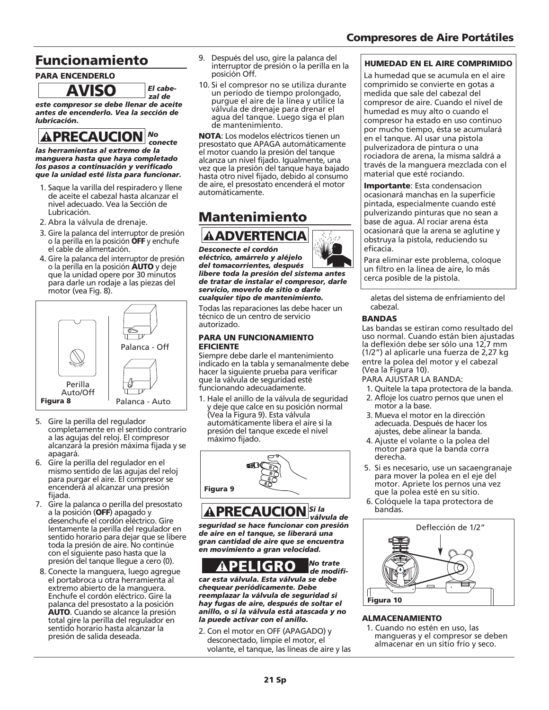## Funcionamiento

### PARA ENCENDERLO

*El cabezal de*

*este compresor se debe llenar de aceite antes de encenderlo. Vea la sección de lubricación.*  **AVISO**<br>ste compresor se debe llena<br>ntes de encenderlo. Vea la s<br>abricación.<br>**APRECAUCION** 

### *No conecte*

*las herramientas al extremo de la manguera hasta que haya completado los pasos a continuación y verificado que la unidad esté lista para funcionar.* 

- 1. Saque la varilla del respiradero y llene de aceite el cabezal hasta alcanzar el nivel adecuado. Vea la Sección de Lubricación.
- 2. Abra la válvula de drenaje.
- 3. Gire la palanca del interruptor de presión o la perilla en la posición OFF y enchufe el cable de alimentación.
- 4. Gire la palanca del interruptor de presión o la perilla en la posición AUTO y deje que la unidad opere por 30 minutos para darle un rodaje a las piezas del motor (vea Fig. 8).



- 5. Gire la perilla del regulador completamente en el sentido contrario a las agujas del reloj. El compresor alcanzará la presión máxima fijada y se apagará.
- 6. Gire la perilla del regulador en el mismo sentido de las agujas del reloj para purgar el aire. El compresor se encenderá al alcanzar una presión fijada.
- 7. Gire la palanca o perilla del presostato a la posición (OFF) apagado y desenchufe el cordón eléctrico. Gire lentamente la perilla del regulador en sentido horario para dejar que se libere toda la presión de aire. No continúe con el siguiente paso hasta que la presión del tanque llegue a cero (0).
- 8. Conecte la manguera, luego agregue el portabroca u otra herramienta al extremo abierto de la manguera. Enchufe el cordón eléctrico. Gire la palanca del presostato a la posición AUTO. Cuando se alcance la presión total gire la perilla del regulador en sentido horario hasta alcanzar la presión de salida deseada.
- 9. Después del uso, gire la palanca del interruptor de presión o la perilla en la posición Off.
- 10. Si el compresor no se utiliza durante un período de tiempo prolongado, purgue el aire de la línea y utilice la válvula de drenaje para drenar el agua del tanque. Luego siga el plan de mantenimiento.

NOTA: Los modelos eléctricos tienen un presostato que APAGA automáticamente el motor cuando la presión del tanque alcanza un nivel fijado. Igualmente, una vez que la presión del tanque haya bajado hasta otro nivel fijado, debido al consumo de aire, el presostato encenderá el motor automáticamente.

## Mantenimiento



*Desconecte el cordón eléctrico, amárrelo y aléjelo del tomacorrientes, después*

*libere toda la presión del sistema antes de tratar de instalar el compresor, darle servicio, moverlo de sitio o darle cualquier tipo de mantenimiento.*

Todas las reparaciones las debe hacer un técnico de un centro de servicio autorizado.

### PARA UN FUNCIONAMIENTO EFICIENTE

Siempre debe darle el mantenimiento indicado en la tabla y semanalmente debe hacer la siguiente prueba para verificar que la válvula de seguridad esté funcionando adecuadamente.

1. Hale el anillo de la válvula de seguridad y deje que calce en su posición normal (Vea la Figura 9). Esta válvula automáticamente libera el aire si la presión del tanque excede el nivel máximo fijado. **ADVERTENCIA**<br>
seconecte el cordón<br>
séctrico, amárrelo y aléjelo<br>
el tomacorrientes, después<br>
ere toda la presión del sist<br>
tratar de instalar el compre<br>
vivício, moverlo de sitio o de intenimie<br>
das las reparaciones las d



### *Si la válvula de*

*seguridad se hace funcionar con presión de aire en el tanque, se liberará una gran cantidad de aire que se encuentra en movimiento a gran velocidad.*

*No trate* 



*de modificar esta válvula. Esta válvula se debe chequear periódicamente. Debe reemplazar la válvula de seguridad si hay fugas de aire, después de soltar el anillo, o si la válvula está atascada y no la puede activar con el anillo.*

2. Con el motor en OFF (APAGADO) y desconectado, limpie el motor, el volante, el tanque, las líneas de aire y las

### HUMEDAD EN EL AIRE COMPRIMIDO

La humedad que se acumula en el aire comprimido se convierte en gotas a medida que sale del cabezal del compresor de aire. Cuando el nivel de humedad es muy alto o cuando el compresor ha estado en uso continuo por mucho tiempo, ésta se acumulará en el tanque. Al usar una pistola pulverizadora de pintura o una rociadora de arena, la misma saldrá a través de la manguera mezclada con el material que esté rociando.

Importante: Esta condensacion ocasionará manchas en la superficie pintada, especialmente cuando esté pulverizando pinturas que no sean a base de agua. Al rociar arena ésta ocasionará que la arena se aglutine y obstruya la pistola, reduciendo su eficacia.

Para eliminar este problema, coloque un filtro en la línea de aire, lo más cerca posible de la pistola.

aletas del sistema de enfriamiento del cabezal.

### BANDAS

Las bandas se estiran como resultado del uso normal. Cuando están bien ajustadas la deflexión debe ser sólo una 12,7 mm (1/2") al aplicarle una fuerza de 2,27 kg entre la polea del motor y el cabezal (Vea la Figura 10).

PARA AJUSTAR LA BANDA:

- 1. Quítele la tapa protectora de la banda.
- 2. Afloje los cuatro pernos que unen el motor a la base.
- 3. Mueva el motor en la dirección adecuada. Después de hacer los ajustes, debe alinear la banda.
- 4. Ajuste el volante o la polea del motor para que la banda corra derecha.
- 5. Si es necesario, use un sacaengranaje para mover la polea en el eje del motor. Apriete los pernos una vez que la polea esté en su sitio.
- 6. Colóquele la tapa protectora de bandas.



### ALMACENAMIENTO

1. Cuando no estén en uso, las mangueras y el compresor se deben almacenar en un sitio frío y seco.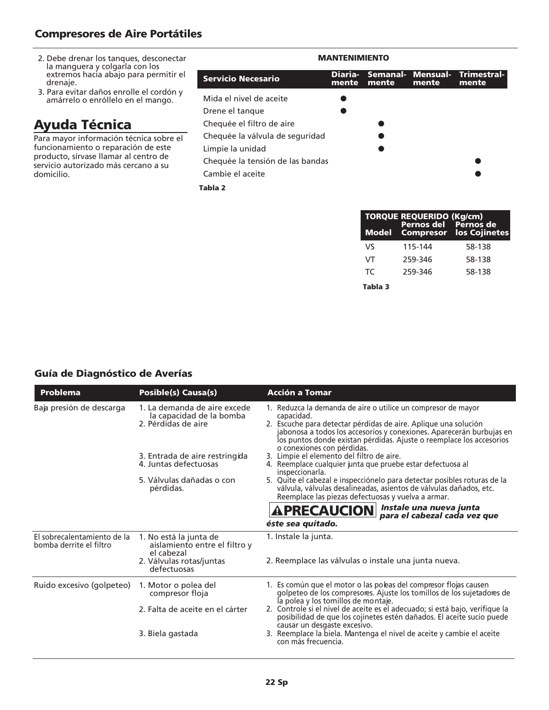### Compresores de Aire Portátiles

- 2. Debe drenar los tanques, desconectar la manguera y colgarla con los extremos hacia abajo para permitir el drenaje.
- 3. Para evitar daños enrolle el cordón y amárrelo o enróllelo en el mango.

## Ayuda Técnica

Para mayor información técnica sobre el funcionamiento o reparación de este producto, sírvase llamar al centro de servicio autorizado más cercano a su domicilio.

| <b>MANTENIMIENTO</b>             |                  |       |                            |                      |  |
|----------------------------------|------------------|-------|----------------------------|----------------------|--|
| Servicio Necesario               | Diaria-<br>mente | mente | Semanal- Mensual-<br>mente | Trimestral-<br>mente |  |
| Mida el nivel de aceite          |                  |       |                            |                      |  |
| Drene el tanque                  |                  |       |                            |                      |  |
| Chequée el filtro de aire        |                  |       |                            |                      |  |
| Chequée la válvula de seguridad  |                  |       |                            |                      |  |
| Limpie la unidad                 |                  |       |                            |                      |  |
| Chequée la tensión de las bandas |                  |       |                            |                      |  |
| Cambie el aceite                 |                  |       |                            |                      |  |
| Tabla <sub>2</sub>               |                  |       |                            |                      |  |

| <b>Model</b> | <b>TORQUE REQUERIDO (Kg/cm)</b><br>Pernos del Pernos de | <b>Compresor los Cojinetes</b> |
|--------------|---------------------------------------------------------|--------------------------------|
| VS           | 115-144                                                 | 58-138                         |
| VT           | 259-346                                                 | 58-138                         |
| TC.          | 259-346                                                 | 58-138                         |
|              |                                                         |                                |

Tabla 3

### Guía de Diagnóstico de Averías

| <b>Problema</b>                                        | <b>Posible(s) Causa(s)</b>                                                      | <b>Acción a Tomar</b>                                                                                                                                                                                                                                                                                                        |
|--------------------------------------------------------|---------------------------------------------------------------------------------|------------------------------------------------------------------------------------------------------------------------------------------------------------------------------------------------------------------------------------------------------------------------------------------------------------------------------|
| Baja presión de descarga                               | 1. La demanda de aire excede<br>la capacidad de la bomba<br>2. Pérdidas de aire | 1. Reduzca la demanda de aire o utilice un compresor de mayor<br>capacidad.<br>2. Escuche para detectar pérdidas de aire. Aplique una solución<br>jabonosa a todos los accesorios y conexiones. Aparecerán burbujas en<br>los puntos donde existan pérdidas. Ajuste o reemplace los accesorios<br>o conexiones con pérdidas. |
|                                                        | 3. Entrada de aire restringida<br>4. Juntas defectuosas                         | 3. Limpie el elemento del filtro de aire.<br>4. Reemplace cualquier junta que pruebe estar defectuosa al<br>inspeccionarla.                                                                                                                                                                                                  |
|                                                        | 5. Válvulas dañadas o con<br>pérdidas.                                          | 5. Quite el cabezal e inspecciónelo para detectar posibles roturas de la<br>válvula, válvulas desalineadas, asientos de válvulas dañados, etc.<br>Reemplace las piezas defectuosas y vuelva a armar.                                                                                                                         |
|                                                        |                                                                                 | Instale una nueva junta<br><b>APRECAUCION</b><br>para el cabezal cada vez que                                                                                                                                                                                                                                                |
|                                                        |                                                                                 | éste sea quitado.                                                                                                                                                                                                                                                                                                            |
| El sobrecalentamiento de la<br>bomba derrite el filtro | 1. No está la junta de<br>aislamiento entre el filtro y<br>el cabezal           | 1. Instale la junta.                                                                                                                                                                                                                                                                                                         |
|                                                        | 2. Válvulas rotas/juntas<br>defectuosas                                         | 2. Reemplace las válvulas o instale una junta nueva.                                                                                                                                                                                                                                                                         |
| Ruido excesivo (golpeteo)                              | 1. Motor o polea del<br>compresor floja                                         | 1. Es común que el motor o las poleas del compresor flojas causen<br>golpeteo de los compresores. Ajuste los tomillos de los sujetadores de<br>la polea y los tornillos de montaje.                                                                                                                                          |
|                                                        | 2. Falta de aceite en el cárter                                                 | 2. Controle si el nivel de aceite es el adecuado; si está bajo, verifique la<br>posibilidad de que los cojinetes estén dañados. El aceite sucio puede                                                                                                                                                                        |
|                                                        | 3. Biela gastada                                                                | causar un desgaste excesivo.<br>3. Reemplace la biela. Mantenga el nivel de aceite y cambie el aceite<br>con más frecuencia.                                                                                                                                                                                                 |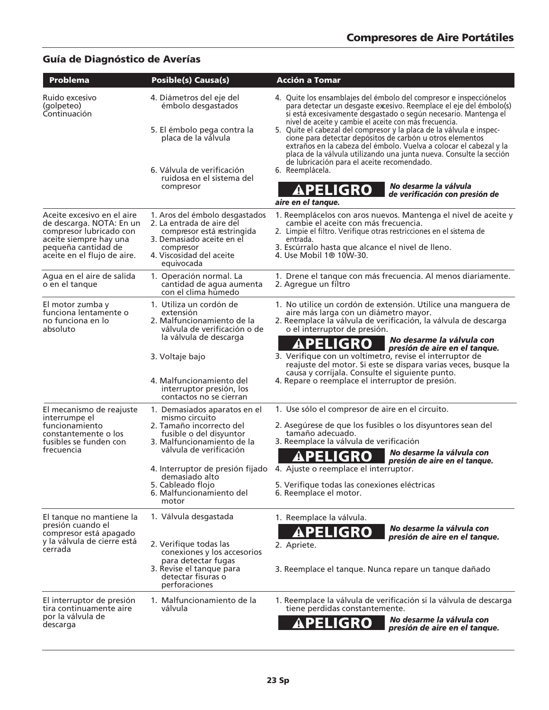### Guía de Diagnóstico de Averías

| Problema                                                                                                                                                          | <b>Posible(s) Causa(s)</b>                                                                                                                                                                                                                                                     | Acción a To <u>mar</u>                                                                                                                                                                                                                                                                                                                                                                                                                                                                                                                                                                                                                                                                                                       |
|-------------------------------------------------------------------------------------------------------------------------------------------------------------------|--------------------------------------------------------------------------------------------------------------------------------------------------------------------------------------------------------------------------------------------------------------------------------|------------------------------------------------------------------------------------------------------------------------------------------------------------------------------------------------------------------------------------------------------------------------------------------------------------------------------------------------------------------------------------------------------------------------------------------------------------------------------------------------------------------------------------------------------------------------------------------------------------------------------------------------------------------------------------------------------------------------------|
| Ruido excesivo<br>(golpeteo)<br>Continuación                                                                                                                      | 4. Diámetros del eje del<br>émbolo desgastados<br>5. El émbolo pega contra la<br>placa de la válvula<br>6. Válvula de verificación<br>ruidosa en el sistema del<br>compresor                                                                                                   | 4. Quite los ensamblajes del émbolo del compresor e inspecciónelos<br>para detectar un desgaste excesivo. Reemplace el eje del émbolo(s)<br>si está excesivamente desgastado o según necesario. Mantenga el<br>nivel de aceite y cambie el aceite con más frecuencia.<br>5. Quite el cabezal del compresor y la placa de la válvula e inspec-<br>cione para detectar depósitos de carbón u otros elementos<br>extraños en la cabeza del émbolo. Vuelva a colocar el cabezal y la<br>placa de la válvula utilizando una junta nueva. Consulte la sección<br>de lubricación para el aceite recomendado.<br>6. Reemplácela.<br>No desarme la válvula<br><b>APELIGRO</b><br>de verificación con presión de<br>aire en el tanque. |
| Aceite excesivo en el aire<br>de descarga. NOTA: En un<br>compresor lubricado con<br>aceite siempre hay una<br>pequeña cantidad de<br>aceite en el flujo de aire. | 1. Aros del émbolo desgastados<br>2. La entrada de aire del<br>compresor está restringida<br>3. Demasiado aceite en el<br>compresor<br>4. Viscosidad del aceite<br>equivocada                                                                                                  | 1. Reemplácelos con aros nuevos. Mantenga el nivel de aceite y<br>cambie el aceite con más frecuencia.<br>2. Limpie el filtro. Verifique otras restricciones en el sistema de<br>entrada.<br>3. Escúrralo hasta que alcance el nivel de lleno.<br>4. Use Mobil 1® 10W-30.                                                                                                                                                                                                                                                                                                                                                                                                                                                    |
| Agua en el aire de salida<br>o en el tanque                                                                                                                       | 1. Operación normal. La<br>cantidad de agua aumenta<br>con el clima húmedo                                                                                                                                                                                                     | 1. Drene el tanque con más frecuencia. Al menos diariamente.<br>2. Agregue un filtro                                                                                                                                                                                                                                                                                                                                                                                                                                                                                                                                                                                                                                         |
| El motor zumba y<br>funciona lentamente o<br>no funciona en lo<br>absoluto                                                                                        | 1. Utiliza un cordón de<br>extensión<br>2. Malfuncionamiento de la<br>válvula de verificación o de<br>la válvula de descarga<br>3. Voltaje bajo<br>4. Malfuncionamiento del<br>interruptor presión, los<br>contactos no se cierran                                             | 1. No utilice un cordón de extensión. Utilice una manguera de<br>aire más larga con un diámetro mayor.<br>2. Reemplace la válvula de verificación, la válvula de descarga<br>o el interruptor de presión.<br>No desarme la válvula con<br><b>APELIGRO</b><br>presión de aire en el tanque.<br>3. Verifique con un voltímetro, revise el interruptor de<br>reajuste del motor. Si este se dispara varias veces, busque la<br>causa y corríjala. Consulte el siguiente punto.<br>4. Repare o reemplace el interruptor de presión.                                                                                                                                                                                              |
| El mecanismo de reajuste<br>interrumpe el<br>funcionamiento<br>constantemente o los<br>fusibles se funden con<br>frecuencia                                       | 1. Demasiados aparatos en el<br>mismo circuito<br>2. Tamaño incorrecto del<br>fusible o del disyuntor<br>3. Malfuncionamiento de la<br>válvula de verificación<br>4. Interruptor de presión fijado<br>demasiado alto<br>5. Cableado flojo<br>6. Malfuncionamiento del<br>motor | 1. Use sólo el compresor de aire en el circuito.<br>2. Asegúrese de que los fusibles o los disyuntores sean del<br>tamaño adecuado.<br>3. Reemplace la válvula de verificación<br>No desarme la válvula con<br>IGRO<br>լ⊨ր<br>presión de aire en el tanque.<br>4. Ajuste o reemplace el interruptor.<br>5. Verifique todas las conexiones eléctricas<br>6. Reemplace el motor.                                                                                                                                                                                                                                                                                                                                               |
| El tanque no mantiene la<br>presión cuando el<br>compresor está apagado<br>y la válvula de cierre está<br>cerrada                                                 | 1. Válvula desgastada<br>2. Verifique todas las<br>conexiones y los accesorios<br>para detectar fugas<br>3. Revise el tanque para<br>detectar fisuras o<br>perforaciones                                                                                                       | 1. Reemplace la válvula.<br>No desarme la válvula con<br><b>PELIGRO</b><br>$\boldsymbol{\Lambda}$<br>presión de aire en el tanque.<br>2. Apriete.<br>3. Reemplace el tanque. Nunca repare un tanque dañado                                                                                                                                                                                                                                                                                                                                                                                                                                                                                                                   |
| El interruptor de presión<br>tira continuamente aire<br>por la válvula de<br>descarga                                                                             | 1. Malfuncionamiento de la<br>válvula                                                                                                                                                                                                                                          | 1. Reemplace la válvula de verificación si la válvula de descarga<br>tiene perdidas constantemente.<br>No desarme la válvula con<br>APELIGRO<br>presión de aire en el tanque.                                                                                                                                                                                                                                                                                                                                                                                                                                                                                                                                                |